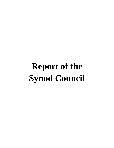# **Report of the Synod Council**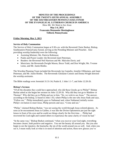#### **MINUTES OF THE PROCEEDINGS OF THE TWENTY-SIXTH ANNUAL ASSEMBLY OF THE SOUTHEASTERN PENNSYLVANIA SYNOD OF THE EVANGELICAL LUTHERAN CHURCH IN AMERICA** *Show Me: We Want to See Jesus*

## **May 3-4, 2013 Franconia Mennonite Meetinghouse Telford, Pennsylvania**

#### **Friday Morning, May 3, 2013**

#### **Service of Holy Communion**

The Service of Holy Communion began at 9:30 a.m. with the Reverend Claire Burkat, Bishop, Southeastern Pennsylvania Synod, serving as the Presiding Minister and Preacher. Also providing worship leadership were the following:

- Assisting Minister: Ms. Patricia Robinson;
- Psalm and Prayer Leader: the Reverend Janet Peterman;
- Readers: the Reverend Neil Harrison and Mr. Malcolm Davis; and
- Musicians: the Reverends Dwight Mason, Bruce Todd, and Don Wright; Ms. Yvonne Lemo, and Mr. Justin Rimbo.

The Worship Planning Team included the Reverends Jay Gamelin, Jennifer Ollikainen, and Janet Peterman, and Mr. Justin Rimbo. The Reverends Ghislaine Cotnoir and Donna Wright directed the worship assistants.

The Bible readings were Jeremiah 31:31-34, Psalm 8, 1 John 1:1-7, and John 12:20-26.

#### **Bishop's Sermon**

"Of all the disciples they could have approached, why did these Greeks go to Philip?" Bishop Burkat asked as she began her sermon on John 12:20-26. Why did they not go to Matthew or Thomas? Why did they go to Philip and say to him, "Sir, we wish to see Jesus." The answer, according to the bishop, is found in John 1:43, where Philip is the one who Jesus finds and says, "Follow me." Philip immediately goes to Nathanael and, when Nathanael initially resists Philip's invitation to meet Jesus, Philip persists and says, "Come and see."

"Philip," claimed Bishop Burkat, "was not seeing the world through Jesus-colored glasses. As soon as he encountered Jesus in Galilee, it was like the Divine Optometrist put just the right lenses in front of his eyes and he could see things clearly for the first time… Philip had recovered his God-sight and wanted others to experience the same clarity of vision he had."

"In the same way," Bishop Burkat continued, "when you recover your God-sight, everything becomes clearer, both positive and negative. You see the beauty all around you. But you also begin to see the injustice, the heartache, the sin of the world around you as well. And, when you see it, I mean really look at what is in need of attention and action, these new glasses you've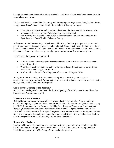been given enable you to see what others overlook. And those glasses enable you to see Jesus in ways others often miss.

"In the next two days we will be discerning and discussing new ways to see Jesus, to show Jesus, to experience Jesus," Bishop Burkat said. She cited the following examples:

- Living Gospel Ministries and its mission developer, the Reverend Linda Manson, who ministers to those leaving the Philadelphia prison system; and
- The ministry of Christ the King Church of the Deaf at the Valley View Home for the Aged Deaf and Deaf-Blind in Delaware County.

Bishop Burkat told the assembly, "My sisters and brothers, God has given you and your church everything you need to see, hear, taste, smell, and touch Jesus. It is through the faith given to us that we have the power of God-sight. But we will need to wash the sleep out of our eyes, remove the cataracts from our vision, and get the right prescription for our Jesus-colored glasses.

"You'll need three pairs," she indicated.

- "You'll need one to correct your near-sightedness. Sometimes we can only see what's right in front of us.
- "You'll also need glasses to correct your far-sightedness. Sometimes … we fail to see the need of someone right in front of us.
- "And we all need a pair of reading glasses" when we pick up the Bible.

"Our goal at this assembly," she concluded, "is to give you tools to go back to your congregations as fully equipped Philips, so that you can invite others to come and see, hear, taste, smell, touch, and feel that the Lord is good."

#### **Order for the Opening of the Assembly**

At 11:00 a.m. Bishop Burkat led the Order for the Opening of the 26<sup>th</sup> annual Assembly of the Southeastern Pennsylvania Synod.

#### **Welcome and Introductions**

Bishop Burkat introduced the Assembly Presenters, Pastor Jay Gamelin, Pilgrim Lutheran Church, Lexington, SC, and Mr. Justin Rimbo, Music Director, Jacob's Well, Minneapolis, MN; the ELCA Representative, the Reverend Neil Harrison, Program Director for Congregational Renewal, Congregation and Synodical Mission Unit of the ELCA; the Parliamentarian, the Reverend Dr. Larry Smoose; the Regional Representative, Portico Benefit Services, Ms. Barbara Debski; and Synod Officers, Synod Council members, and Deans. She invited rostered leaders, new to the synod since the last assembly, to introduce themselves.

#### **Report of the Registrar**

Ms. Cynta Outterbridge, Registrar, reported that the total number of voting members was 493, the total number of voting members registered was 423, and the number of voting members needed for a quorum was 329. Bishop Burkat declared a quorum.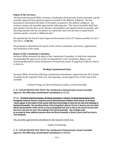#### **Report of the Secretary**

The Reverend Raymond Miller, Secretary, Southeastern Pennsylvania Synod, presented, and the assembly approved the proposed program as printed in *The Bulletin of Reports*. He then presented as information the Rules of Procedure as printed in *The Bulletin of Reports.* By common consent, the assembly approved the following rule: "The Synod Assembly shall limit each speaker from the floor to two minutes, alternating *for* and *against* whenever possible, and allowing someone who has not spoken on a particular issue from the floor to speak before someone speaks a second or additional time."

He reported that the Synod Council approved the minutes of the  $25<sup>th</sup>$  annual assembly on June 7, 2012 (**S. C. 12.06.10**).

He presented as information the reports of the various committees, task forces, organizations, and institutions of the synod.

#### **Report of the Constitution Committee**

Secretary Miller presented the report of the Constitution Committee, in which the committee recommended the approval of a series of amendments to the *Constitution, Bylaws, and Continuing Resolutions of the Southeastern Pennsylvania Synod, Evangelical Lutheran Church in America.*

## **Pending Constitutional Items**

Secretary Miller moved the following constitutional amendments, approved by the 2012 Synod Assembly by the required 2/3rds vote, and requiring a second approval by 2/3rds vote of this assembly:

*Voting Privileges for Retired Rostered Leaders at Synod Assembly*

## **S. A. 13.05.01 RESOLVED THAT the Southeastern Pennsylvania Synod Assembly approves the following constitutional amendment to S7.23.:**

**S7.23. All retired ordained ministers, all retired associates in ministry, all retired deaconesses of the Evangelical Lutheran Church in America, and all retired diaconal ministers of this church, all of whose names appear on the rosters of this synod, shall have the privilege of voice but not vote at all meetings of the Synod Assembly. The presiding bishop of the Evangelical Lutheran Church in America and such other official representatives of this church as may be designated from time to time by the Church Council shall also have voice but not vote in the meetings of the Synod Assembly. Like privileges shall be accorded to those additional persons whom the Synod Assembly or Synod Council shall from time to time designate.**

The assembly approved the amendment by the required 2/3rds vote.

*Update Terminology*

#### **S. A. 13.05.02 RESOLVED THAT the Southeastern Pennsylvania Synod Assembly approves the following constitutional amendment to S14.22.:**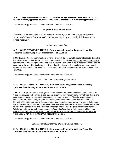**S14.22. The provisions in the churchwide documents and such provisions as may be developed by the Division of Ministry appropriate churchwide unit governing associates in ministry shall apply in this synod.**

#### The assembly approved the amendment by the required 2/3rds vote.

#### **Proposed Bylaw Amendments**

Secretary Miller moved the approval of the following bylaw amendments, as reviewed and recommended by the Constitution Committee, and requiring approval by 2/3rds vote of one Synod Assembly:

#### *Nominating Committee*

#### **S. A. 13.05.03 RESOLVED THAT the Southeastern Pennsylvania Synod Assembly approves the following bylaw amendment to S9.03.01.a.:**

**S9.03.01.a.** a. Upon the recommendation of the vice-president, the The Synod Council shall appoint a Nominating Committee. The committee shall be composed of members of the Synod Council and others with the goal of having representation at least one representative from each conference. No member of the Nominating Committee shall be nominated by the committee for election to the Synod Council. In the event that a particular conference cannot be represented by a member of the Synod Council a representative of that conference shall be asked to serve on the committee.

The assembly approved the amendment by the required 2/3rds vote.

#### *Synod Council Conference Representatives*

#### **S. A. 13.05.04 RESOLVED THAT the Southeastern Pennsylvania Synod Assembly approves the following bylaw amendment to S9.08.01.b.:**

**S9.08.01.b.** Representatives of congregations in each conference shall meet prior to the annual meeting of the Synod Assembly and shall nominate at least one two lay persons from their conference for the Synod Council, one nominee per conference to be elected by the assembly at the annual meeting. These lay seats assigned to conferences shall alternate every six years (or two terms) between male and female Council members. The Nominating Committee shall receive these nominations from the conferences to include in its reports. In the event that a conference has not submitted its nominees to the Nominating Committee by February 15 of the calendar year in which its representatives will be elected, the Nominating Committee shall designate the conference nominees. With this exception, no nominations may be made by Nominating Committee or Voting members at the annual meeting of the assembly may nominate from the floor persons from the assigned conferences for election to the Synod Council. from the floor at the annual meeting of the assembly.

The assembly approved the amendment by the required 2/3rds vote.

#### *Congregational Membership of Synod Council Members*

#### **S. A. 13.05.05 RESOLVED THAT the Southeastern Pennsylvania Synod Assembly approves the following bylaw amendment to S9.08.01.d.:**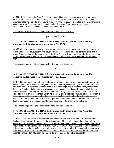**S9.08.01.d**. No nomination for Synod Council shall be made if that nominee's congregation already has a member on the Synod Council or if a member of a congregation has already been nominated, provided, however, that no nominee shall be ineligible if the Synod Council member from that congregation is an officer of this Synod and/or one of them is a Synod Council youth or young adult member. The Synod Council may make exceptions to this requirement in order to promote greater diversity and/or inclusivity.

The assembly approved the amendment by the required 2/3rds vote.

## *Synod Council Vacancies*

## **S. A. 13.05.06 RESOLVED THAT the Southeastern Pennsylvania Synod Assembly approves the following bylaw amendment to S10.03.01.:**

**S10.03.01.** Should a member of the Synod Council resign or lose his or her membership on the Synod Council, the Synod Council shall elect, by majority vote, a successor who shall serve until the unexpired term is completed. A Synod Council member, who has been elected by the Synod Council to fill an unexpired term, is eligible to be elected for two consecutive terms after the unexpired term has ended if the unexpired term is less than one-and-one-half years.

The assembly approved the amendment by the required 2/3rds vote.

*Conferences*

#### **S. A. 13.05.07 RESOLVED THAT the Southeastern Pennsylvania Synod Assembly approves the following bylaw amendment to S12.01.05.:**

**S12.01.05.** Each conference shall meet in full assembly at least one time per year. <del>, which assembly shall consist</del> of one ordained minister and two lay delegates (one male, one female) from each congregation. Each institution of this church serving in the territory of the conference may be given the privilege of voice and vote by the conference by means of a delegate to the conference assembly who is a member of this church. The method of election and term of representation of delegates shall be determined by each congregation and institution. Associates in ministry and ordained ministers in good standing who are not serving as specified delegates and who reside on the territory of the conference and/or serve under call on the territory of the conference will be given the privilege of voice at the conference assembly. Each conference shall be responsible for developing a plan for fair representation of rostered leaders, lay members of congregations, institutions, and agencies on the territory of the conference.

The assembly approved the amendment by the required 2/3rds vote.

#### **S. A. 13.05.08 RESOLVED THAT the Southeastern Pennsylvania Synod Assembly approves the following bylaw amendment to S12.01.11.:**

**S12.01.11.** Each conference in assembly shall elect a dean who shall be a pastor under call serving within the territory of the conference. The quorum for the conference assembly at which the dean is to be elected shall consist of clergy and lay representation from a majority of the congregations in the conference. The conference shall seek to assure that the representational principles stated in **+S6.04., +S6.04.A01., +S6.04.B09.,** and **S6.04.C2.** are fulfilled. If there is no quorum for the conference assembly at which the dean is to be elected, the dean shall be appointed by the bishop of this synod in consultation with the Committee of Deans. If the conference does not call a conference assembly for the election of the dean, the bishop of this synod shall call the conference assembly.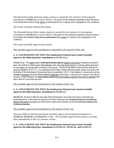The Reverend Gordon Simmons made a motion to amend the first sentence of the proposed amendment of **S12.01.11** to read as follows: The quorum for the conference assembly at which the dean is to be elected shall consist of clergy and/or lay representation from a majority of the congregations in the conference.

The Synod Assembly defeated the motion.

The Reverend Serena Sellers made a motion to amend the first sentence of the proposed amendment of **S12.01.11** to read as follows: The quorum for the conference assembly at which the dean is to be elected shall consist of clergy and lay representation from consist of a majority of the congregations in the conference.

The Synod Assembly approved the motion.

The assembly approved the amendment as amended by the required 2/3rds vote.

## **S. A. 13.05.09 RESOLVED THAT the Southeastern Pennsylvania Synod Assembly approves the following bylaw amendment to S12.01.11.a.:**

**S12.01.11.a.** The interim pastors of the Interim Ministry Network rostered in this synod in assembly shall elect a dean, who shall be an interim pastor fully endorsed under call by the Synod Council, or actively seeking placement for a an interim call, serving within the territory of this synod. The term of the Dean of Interim Ministry shall be the same as specified in S12.01.12. It is understood that the Dean of Interim Ministry advises, assists, and confers with the Bishop of the Southeastern Pennsylvania Synod as specified in S12.01.13 and relates to, consults with, and is a member of convenes the Interim Ministry Network gatherings of this synod. In the event of a vacancy in the office of the Dean of Interim Ministry, the Interim Ministry Network the interim pastors rostered in this synod in assembly shall elect a dean for a new three-year term.

The assembly approved the amendment by the required 2/3rds vote.

#### **S. A. 13.05.10 RESOLVED THAT the Southeastern Pennsylvania Synod Assembly approves the following bylaw amendment to S12.01.12.:**

**S12.01.12.** The term of office for each dean shall be three years, and a dean may serve no more than two consecutive terms. In the event of a vacancy in the office of the dean, the Conference Executive Committee the bishop of this synod may appoint an interim dean to serve until an election can be held at the next meeting of the Conference Assembly.

The assembly approved the amendment by the required 2/3rds vote.

Secretary Miller moved that the Synod Assembly approve the proposed amendments to **S12.01.31, S12.01.42,** and **S12.01.51** *en bloc.* The assembly approved the motion to consider these amendments *en bloc* by common consent.

#### **S. A. 13.05.11 RESOLVED THAT the Southeastern Pennsylvania Synod Assembly approves the following bylaw amendment to S12.01.31., S12.01.42., and S12.01.51.:**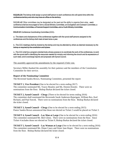**S12.01.31** The bishop shall assign a synod staff person to each conference who will spend time within the conference territory and who may have an office on the territory.

**S12.01.42** Other committees may be designated as the need and the ability to organize them arise.  $\div$ conference shall be encouraged to form a Social Ministry Committee, an Evangelism and Outreach Committee, a Communication Committee, a Financial Support Committee, and a Youth Ministry Committee.

**S12.01.51** Conference Coordinating Committee (CCC).

a. The deans and chairpersons of the conferences together with the synod staff persons assigned to the conferences and the bishop shall meet at least twice a year.

b. The CCC meetings shall be chaired by the bishop and may be attended by others as deemed necessary by the bishop or required by the constitution and bylaws.

c. The CCC shall be a program-oriented body whose purpose is to coordinate the work of the conferences, to work with the synod staff in identifying the resources needed for ministry and informing the church and its expressions of such need, and to exchange reports and proposals with Synod Council.

The assembly approved the amendments by the required 2/3rds vote.

Secretary Miller thanked the assembly for their patience and the members of the Constitution Committee for their service.

#### **Report of the Nominating Committee**

The Reverend Sandra Brown, Nominating Committee, presented the report:

**TICKET 1, Vice President** (One to be elected for a term ending 2017) The committee nominated Ms. Tracey Beasley and Ms. Doreen Kinzler. There were no nominations from the floor. Bishop Burkat declared the ticket closed.

**TICKET 2, Synod Council – Clergy** (Three to be elected for terms ending 2016) The committee shall nominated the Reverends Sarah Anderson-Rajarigam, William Rex, Karl Richard, and Paul Sorcek. There were no nominations from the floor. Bishop Burkat declared the ticket closed.

**TICKET 3, Synod Council – Clergy** (One to be elected for a term ending 2015) Pastor Sandra Brown announced that those not elected on Ticket 2 would be placed on Ticket 3.

**TICKET 4, Synod Council – Lay Man at Large** (One to be elected for a term ending 2016) The committee nominated Mr. Bert Glenn. There were no nominations from the floor. Since Ticket 4 includes those not elected on Ticket 9, Bishop Burkat declared the ticket closed.

**TICKET 5, Synod Council – Lay Woman at Large** (One to be elected for a term ending 2016) The committee nominated Ms. Diane Casey and Sister Jane Roper. There were no nominations from the floor. Bishop Burkat declared the ticket closed.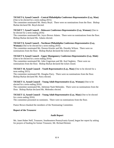## **TICKET 6, Synod Council – Central Philadelphia Conference Representative (Lay, Man)**

(One to be elected for a term ending 2015)

The committee nominated Mr. Henry Boyd. There were no nominations from the floor. Bishop Burkat declared Mr. Boyd elected.

## **TICKET 7, Synod Council – Delaware Conference Representative (Lay, Woman)** (One to

be elected for a term ending 2016)

The committee nominated Ms. Joyce Brown Adams. There were no nominations from the floor. Bishop Burkat declared Ms. Adams elected.

#### **TICKET 8, Synod Council – Northeast Philadelphia Conference Representative (Lay, Woman)** (One to be elected for a term ending 2016)

The committee nominated Ms. Doreen Kinzler and Ms. Dorothy Wilson. There were no nominations from the floor. Bishop Burkat declared the ticket closed.

#### **TICKET 9, Synod Council – Upper Montgomery Conference Representative (Lay, Male)**  (One to be elected for a term ending 2016)

The committee nominated Mr. John Ungerman and Mr. Karl Segletes. There were no nominations from the floor. Bishop Burkat declared the ticket closed.

#### **TICKET 10, Synod Council – Youth Representative (Lay, Man)** (One to be elected for a term ending 2015)

The committee nominated Mr. Douglas Parry. There were no nominations from the floor. Bishop Burkat declared Mr. Parry elected.

#### **TICKET 11, Synod Council – Young Adult Representative (Lay, Woman)** (One to be elected for a term ending 2016)

The committee nominated Ms. Adrienne Nash Melendez. There were no nominations from the floor. Bishop Burkat declared Ms. Melendez elected.

#### **TICKET 12, Synod Council – Young Adult Representative (Lay, Man)** (One to be elected for a term ending 2016)

The committee presented no nominees. There were no nominations from the floor.

Pastor Brown thanked the members of the Nominating Committee.

#### **Report of the Treasurer**

#### **Audit Report**

Ms. Janet Huber Neff, Treasurer, Southeastern Pennsylvania Synod, began her report by asking for prayers of healing for former Treasurer, Mr. Richard Reimet.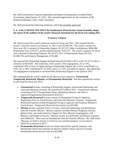Ms. Neff reviewed the *Financial Statements and Report of Independent Certified Public Accountants,* dated January 31, 2013. She expressed appreciation for the assistance of Mr. Rodman Rothermel, Chair, Audit Committee.

Ms. Neff presented the following resolution, which the assembly approved:

## **S. A. 13.05.12 RESOLVED THAT the Southeastern Pennsylvania Synod Assembly adopts the report of the auditors of the synod's financial statements for the fiscal year ending 2012.**

## **Treasurer's Report**

Ms. Neff reviewed the synod's financial results for fiscal year 2012. She reported that the synod's Total Net Assets as of January 31, 2013, were \$2,489,796. The synod's income for fiscal year 2012 consisted of Partnership Support, \$2,137,127; Other Contributions, \$606,400; Registration Fees, \$198,353; and Investment Income, \$185,343. The synod's expenses for fiscal year consisted of Operating Expenses, \$2,145,072; ELCA Proportionate Share (53.5%), \$1,088,750; and Property Management, \$170,486.

She reported that Partnership Support declined from \$2,254,260 in 2011 to \$2,137,127 in 2012, a reduction of \$210,645. She noted that, of the synod's 160 congregations, 29, or 18%, contributed 10% or more of regular giving to Partnership Support; 66, or 41%, contributed 5 to 9.9%; 44, or 28%, contributed 0.1 to 4.9%; and 21, or 13%, provided no support. She added that 74 congregations maintained or increased their Partnership Support to the synod in 2012.

She explained that the synod's funds are divided into four categories: **Unrestricted, Temporarily Restricted, Mission,** and **Permanently Restricted**. She then reported the activity in each fund for fiscal year 2012:

- **Unrestricted** income, consisting of Partnership Support, unrestricted fundraising, and some miscellaneous revenues, decreased by \$172,000 in 2012. Unrestricted expenses, consisting of ELCA Proportionate Share, Operating Expenses, and Gifts to Agencies/Organizations decreased by \$143,417.
- **Temporarily Restricted** Income consists of Designated Giving for Agencies, Registration Fees for Synod Events, and some miscellaneous revenues. Temporarily Restricted Expenses include Designated Giving to Agencies and Expenses Related to Synod Events. Temporarily Restricted net income was \$32,000.
- **Mission** income consisted of ELCA Grants, restricted fundraising, and distributions from the *Fund for Mission.* Mission expenses included Mission Programs (mission, global vision, and youth ministry), Support for New Mission Congregations, and Ministry with People in Poverty. Mission income was \$295,000, and Mission expenses were \$466,624. There were no distributions from the *Fund for Mission.* Ms. Neff noted, "Because we believe mission is critical to our synodical purpose, we invested in \$294,542 in mission in 2012."
- **Permanently Restricted** income are funds restricted for specific purposes, and Permanently Restricted expenses are directly related to those sources of income. Permanently Restricted net come was \$33,000.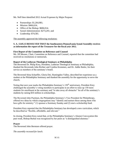Ms. Neff then identified 2012 Actual Expenses by Major Purpose:

- Partnerships:  $$1,264,981;$
- Mission: \$466,624;
- Office of the Bishop: \$606,014;
- Synod Administration: \$273,291; and
- Leadership: \$74,581.

The assembly approved the following resolution:

#### **S. A. 13.05.13 RESOLVED THAT the Southeastern Pennsylvania Synod Assembly receives as information the report of the Treasurer for the fiscal year 2012.**

#### **First Report of the Committee on Reference and Counsel**

Ms. Jill Meuser, Chair, Committee on Reference and Counsel, reported that the committee had received no resolutions or memorials.

#### **Report of the Lutheran Theological Seminary at Philadelphia**

The Reverend Dr. Philip Krey, President, Lutheran Theological Seminary at Philadelphia, thanked the Reverends John Richter and Cynthia Krommes, and Dr. Addie Butler, for their service as members of the seminary's board.

The Reverend Stina Schaeffer, Gloria Dei, Huntingdon Valley, described her experience as a student at the Philadelphia Seminary and thanked the assembly for the opportunity to serve the church.

Noting that next year marks the Philadelphia Seminary's  $150<sup>th</sup>$  anniversary, President Krey challenged the assembly's voting members to participate in an effort to raise up 150 more students for enrollment at the seminary and "to take away all obstacles" for all of the seminary's students by raising \$10 million in scholarships.

The Reverend John Puotinen, the Philadelphia Seminary's Vice President for Philanthropy, offered two ideas by which congregations may "identify and nurture those among them who have gifts for ministry:" (1) sponsor a Seminary Sunday and (2) start a scholarship fund.

President Krey reported that the Philadelphia Seminary has developed a new curriculum, which he described as "flexible, affordable, and relevant."

In closing, President Krey noted that, at the Philadelphia Seminary's Alumni Convocation this past week, Bishop Burkat was recognized by her peers as "a distinguished alumnus."

#### **Prayer**

The Reverend John Berntsen offered prayer.

*The assembly recessed for lunch.*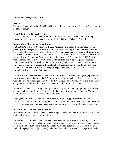## **Friday Afternoon, May 3, 2013**

## **Prayer**

Pastor Jay Gamelin introduced a video which invited viewers to "look at Jesus." After the video, he offered prayer

## **First Balloting for General Elections**

The Reverend Rebecca Eisenhart, Chair, Committee on Elections, explained the balloting procedure. The assembly then cast votes for the first ballot of Tickets 1, 2, and 9.

## **Report of the Churchwide Organization**

Stating that "it is a joy to be here," the ELCA Representative, Pastor Neil Harrison, brought greetings from the synod's "partners in the ELCA;" the Presiding Bishop, the Reverend Mark Hanson; and the Executive Director of the ELCA's Congregational and Synodical Mission Unit, the Reverend Stephen Bouman. Using the ELCA's 25th Anniversary tag line, *God's Work, Our Hands; Always Being Made New, he reminded the assembly, "We are all the ELCA."* Noting that, in church life, the key is "relationships, relationships, and relationships," he thanked Ms. Patricia Robinson for her service to the ELCA as this synod's Vice President. He also thanked the synod for sharing its leaders with the churchwide organization: Bishop Burkat, Secretary Miller, and the Reverends Patricia Davenport, Peggy Wuertele, Katie Day, Linda Manson, Gwendolyn King, and Mark Wimmer.

Pastor Harrison then described the ELCA's two priorities: (1) Accompanying congregations as growing centers for mission, and (2) Building capacity for evangelical witness and service in the world to alleviate suffering and injustice. In that regard, he said, "Every person is a missionary, every pastor is a mission director, and every congregation is a mission center."

He introduced a video featuring a message from Bishop Hanson and highlighting the ministries of Immanuel Lutheran Church, Palm City, FL; the Evangelical Lutheran Church in Myanmar; and St. Matthew Trinity Lutheran Church, Hoboken, NJ.

Noting that 80% of ELCA ministries are funded by mission support from synods, Pastor Harrison thanked the synod for its support. In closing, he invited the assembly to "tell the story of what God is up to in your congregations … in mission and service for the sake of the world."

#### **Recognition of Anniversary Celebrants**

Bishop Burkat invited the Reverends Donald Hagey and David Krewson to address the assembly on the  $50<sup>th</sup>$  anniversary of their ordination.

"How ironic it is for me to stand before you, talking about my 50 years of ministry," Pastor Hagey told the assembly, "when I remember, as a young pastor, hearing older pastors tell stories about their wonderful years in ministry. What a marvelous experience it is," he said, "to be invited into people's lives [as a pastor] and to guide them in God's way." He expressed thanks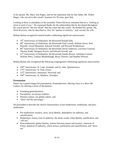to his spouse, Ms. Mary Ann Hagey, and for the inspiration that his late father, Mr. Walter Hagey, who served as this synod's treasurer for 30 years, gave him.

Looking at those in attendance at the assembly, Pastor Krewson remarked that he is "looking at Jesus in each of you." He expressed thanks for the relationships that he developed throughout the synod and for "the new blood" that has come into this synod. He thanked his spouse, Ms. Doris Krewson, who he described as, first, his "partner in ministry," and, second, his wife.

Bishop Burkat recognized rostered leaders celebrating significant anniversaries:

- $\bullet$  70<sup>th</sup> Anniversary of Ordination: the Reverend Donald Doll;
- 60<sup>th</sup> Anniversary of Ordination: the Reverends Paul Cornell, William Davis, Paul Howells, Lloyd Sheneman, Edward Treichel, and Howard Weidemoyer;
- $\bullet$  40<sup>th</sup> Anniversary of Ordination: the Reverends David Anderson, Lawrence Guenzel, Thomas Kadel, Margaret Krych, and Edward Oswald; and
- $\bullet$  25<sup>th</sup> Anniversary of Ordination: the Reverends Sandra Brown, Ghislaine Cotnoir, William Petry, Lindsay Rhodenbaugh, Bruce Thorsen, and Stephen Weisser.

Bishop Burkat also recognized the following congregations celebrating significant anniversaries:

- $250<sup>th</sup>$  Anniversary: St. Luke, Ferndale, and St. John, Spinnerstown;
- $\bullet$  175<sup>th</sup> Anniversary: St. Paul, Exton;
- $\bullet$  125<sup>th</sup> Anniversary: Immanuel, Norwood; and
- $\bullet$  100<sup>th</sup> Anniversary: St. Matthew, Woodlyn.

#### **Presentation**

Pastor Jay Gamelin began his presentation, *Postmodernism: Sharing Jesus in a Show Me Culture*, by offering a series of disclaimers:

- Sweeping generalizations,
- Perceptions, not always realities,
- Western culture, not global culture, and
- "Don't kill the messenger."

He proceeded to describe the church characteristics of pre-modernism, modernism, and postmodernism:

- Pre-modernism: mystery, story, local identity, dependence on authority, and sanctification;
- Modernism: reason, trust in authority, the mind, words, tribal identity, justification, and "tell me;"
- Post-modernism: global identity, tension between reason and mystery, character of Christ, skeptical of authority, whole person, justification and sanctification, and "show me."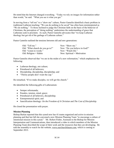He noted that the Internet changed everything. "Today we rely on images for information rather than words," he said. "What you see is what you get."

In moving from a "tell me" to a "show me" culture, Pastor Gamelin identified a basic problem in traditional Lutheran teaching: "We can do nothing to be saved" has often been misinterpreted as "We do nothing." To those inclined to judge the Christian faith on the basis of the behavior of Christians, the perception of "doing nothing" undermines the understanding of grace that Lutherans seek to proclaim. As such, Pastor Gamelin advocates that "we keep Lutheran theology but get rid of the garbage of Lutheran culture."

Pastor Gamelin outlined the tensions between old and new generations:

| Old: "Tell me."                  | New: "Show me."               |
|----------------------------------|-------------------------------|
| Old: "What church do you go to?" | New: "Do you believe in God?" |
| Old: "Listen to words."          | New: "Watch life."            |
| Old: Religion $=$ Habits         | New: Spiritual $=$ Motivation |

Pastor Gamelin observed that "we are in the midst of a new reformation," which emphasizes the following:

- Lutheran theology, not culture;
- Priesthood of all believers;
- Discipleship, discipleship, discipleship; and
- "Thirsty people don't want the cup."

He remarked, "If we make disciples, we will get the church."

He identified the following gifts of Lutheranism:

- Semper reformanda;
- Paradox, tension, simul, grace;
- Priesthood of all believers, discipleship;
- Entrepreneurial spirit; and
- Sanctification theology: *On the Freedom of A Christian* and *The Cost of Discipleship.*

He closed the presentation with prayer.

## **Mission Planning**

Bishop Burkat reported that this synod now has 41 teams organized and active in mission planning and that last fall she convened a new Mission Planning Team "to encourage a culture of intentional mission in this synod." Mr. Robert Fisher, Assistant to the Bishop for Mission Interpretation and Communications, then introduced a video in which members of the Mission Planning Team described the scope of their work and the resources that they are developing. He told the assembly to watch for the website, www.ourchurchfuture.com, which is coming in September 2013.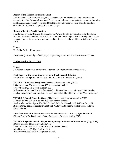#### **Report of the Mission Investment Fund**

The Reverend Mark Wimmer, Regional Manager, Mission Investment Fund, reminded the assembly that "the Mission Investment Fund is your and your congregation's partner in investing and financial management." He noted that the Mission Investment Fund provides building consultation services to congregations at no charge.

#### **Report of Portico Benefit Services**

Ms. Barbara Debski, Regional Representative, Portico Benefit Services, formerly the ELCA Board of Pensions, reported that Portico is committed to leading the ELCA through the changes mandated by healthcare reform and indicated that further details would be available in August 2013.

#### **Prayer**

Dr. Addie Butler offered prayer.

*The assembly recessed for dinner, to participate in forums, and to visit the Mission Center.*

## **Friday Evening, May 3, 2013**

#### **Prayer**

Mr. Rimbo introduced a music video, after which Pastor Gamelin offered prayer.

#### **First Report of the Committee on General Elections and Balloting**

Pastor Eisenhart reported the results of the first ballots for Tickets 1, 2, and 9.

#### **TICKET 1, Vice President** (One to be elected for a term ending 2017)

364 total ballots, 364 valid ballots, 183 votes needed to elect Tracey Beasley, 212; Doreen Kinzler, 152 Bishop Burkat declared Ms. Beasley elected and invited her to come forward. Ms. Beasley thanked the assembly and said that she was "honored and humbled to be your Vice President."

**TICKET 2, Synod Council – Clergy** (Three to be elected for terms ending 2016) 364 total ballots, 364 valid ballots, 183 votes needed to elect Sarah Anderson-Rajarigam, 284; Karl Richard, 263; Paul Sorcek, 228; William Rex, 191 Bishop Burkat declared the Reverends Sarah Anderson-Rajarigam, Karl Richard, and Paul Sorcek elected.

Since the Reverend William Rex was the only nominee on **TICKET 3, Synod Council -- Clergy**, Bishop Burkat declared Pastor Rex elected for a term ending 2015.

**TICKET 9, Synod Council – Upper Montgomery Conference Representative (Lay, Male)**  (One to be elected for a term ending 2016) 354 total ballots, 354 valid ballots, 178 votes needed to elect John Ungerman, 195; Karl Segletes, 159 Bishop Burkat declared Mr. Ungerman elected.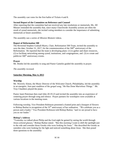The assembly cast votes for the first ballot of Tickets 4 and 8.

#### **Second Report of the Committee on Reference and Counsel**

After reporting that the committee had not received any late resolutions or memorials, Ms. Jill Meuser reminded the assembly that, since many Churchwide Assembly actions are often the result of synod memorials, she invited voting members to consider the importance of submitting memorials at future assemblies.

The assembly saw a series of *Mission Moment* videos.

#### **Report of Reformation 500**

The Reverend Stephen Godsall-Myers, Chair, Reformation 500 Team, invited the assembly to save the date, October 31, 2017, for the commemoration of the  $500<sup>th</sup>$  anniversary of the Reformation. He reported that the team is developing plans: (1) to gather and share resources, (2) to facilitate networking among synod, institutions, and congregations, and (3) to create and publicize  $500<sup>th</sup>$  anniversary events.

#### **Prayer**

Mr. Rimbo led the assembly in song and Pastor Gamelin guided the assembly in prayer.

*The assembly recessed.*

## **Saturday Morning, May 4, 2013**

#### **Worship**

Mr. Waverly Alston, the Music Director of the Welcome Church, Philadelphia, led the assembly in an energetic, four-part rendition of the gospel song, "He Has Done Marvelous Things*.*"Mr. Troy Chambers played the piano.

Pastor Janet Peterman then read John 20:19-23 and invited the assembly into an experience of centering prayer through song and silence. Prayer partners for worshipers were available at various locations in the meeting room.

Following worship, Vice President Robinson presented a framed print and a bouquet of flowers to Bishop Burkat in recognition of the  $35<sup>th</sup>$  anniversary of her ordination. "We celebrate you as a person and a leader," Vice President Robinson told Bishop Burkat, "and we are proud to have you as our leader."

#### **Bishop's Address**

"Yesterday we talked about Philip and the God-sight he gained by seeing the world through Jesus-colored glasses," Bishop Burkat stated. "But this morning I want to shift the spotlight just to the side and consider those Greeks who were looking for Jesus." She described the Greeks as outsiders who were looking for the light and noticed something about Jesus. She then posed three questions to the assembly: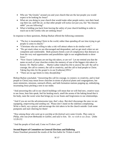- Who are "the Greeks" around you and your church that are the last people you would expect to be looking for Jesus?
- What are you doing in your church that would make other people notice, turn their head, cup their ear, sniff the air, so that other people will notice not just you, but "the itinerate rabbi" you are following?
- What is holding you back from leaving the safety of your church building in order to reach out to the Greeks who are seeking Jesus?

In response to these questions, Bishop Burkat offered the following comments:

- "The key is incarnating Christ in the world, rather than spending all our time trying to get people to come to church."
- "Christians who are willing to take a risk will attract others to do similar work."
- "We get stuck when we are discouraged and despondent, and we get stuck when we are competent and comfortable. Both postures breed a sort of complacency that distracts us from the very real opportunities and possibilities right in our neighborhoods to show Jesus."
- "Now I know Lutherans are not big risk takers, or are we? Let me remind you that the name on each of your churches evokes the memory of one of the biggest risk-takers in history: Dr. Martin Luther... Martin Luther risked his life to answer the call: the call to courage, the call to connect, the call to creativity, and the call to lead people to Christ. Taking big risks for the gospel is in our [Lutheran] DNA."
- "There are no age limits to risky discipleship."

Bishop Burkat concluded, "Answering this call [to courage, to connect, to creativity, and to lead people to Christ] may mean fewer churches in terms of physical plants and congregations, but more ministries, missions, outreach efforts, and faith formation stations popping up, embodying, incarnating Jesus pitching a tent in our midst.

"And answering this call in our church buildings will mean that we will find new, creative ways to see Jesus, hear him speak, feel his healing touch, smell the aroma of the baking bread that is his body, taste the sweet wine that brings joy to our feasts and forgiveness to our relationships.

"And if you are not the adventuresome type, that's okay. But don't discourage the ones we are equipping, empowering and sending out. Please don't stand on the sidelines complaining. Write a check, say a prayer, and encourage the risk takers to be the church outside. Grab some pompoms and start cheering for them!

"*Now among those who went up to worship at the festival were some Greeks. They came to Philip, who was from Bethsaida in Galilee, and said to him, 'Sir, we wish to see Jesus.'* [John 12:20-21]

"And the people of God said, Come we'll show you!"

## **Second Report of Committee on General Elections and Balloting**

Pastor Eisenhart presented the results of the first ballot for Tickets 4 and 8.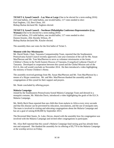**TICKET 4, Synod Council – Lay Man at Large** (One to be elected for a term ending 2016) 233 total ballots, 233 valid ballots, one invalid ballot, 117 votes needed to elect Karl Segletes, 132; Bert Glenn, 101 Bishop Burkat declared Mr. Segletes elected.

**TICKET 8, Synod Council – Northeast Philadelphia Conference Representative (Lay, Woman)** (One to be elected for a term ending 2016) 233 total ballots, 233 valid ballots, one invalid ballot, 117 votes needed to elect Doreen Kinzler, 204; Dorothy Wilson, 29 Bishop Burkat declared Ms. Kinzler elected.

The assembly then cast votes for the first ballot of Ticket 5.

#### **Moment with Our Missionaries**

Mr. David Neale, Chair, Tanzania Companionship Team, reported that the Southeastern Pennsylvania Synod Council recently approved a one-year extension of the call for Ms. Susan MacPherson and Mr. Tom MacPherson to serve as volunteer missionaries at the Irente Children's Home in the North Eastern Diocese of Tanzania, Evangelical Lutheran Church of Tanzania. Developed in cooperation between this synod and the Global Mission unit of the ELCA, this call would conclude on November 2014. He then introduced a video highlighting the ministry of Irente Children's Home.

The assembly received greetings from Ms. Susan MacPherson and Mr. Tom MacPherson by a means of a Skype connection. Mr. and Mrs. MacPherson thanked the assembly and the congregations of this synod for their support and prayers.

Mr. Neale concluded by offering prayer.

#### **Malaria Campaign**

Joined by the Southeastern Pennsylvania Synod Malaria Campaign Team and dressed in a mosquito costume, Mr. Malcolm Davis, introduced a video highlighting the goals of the ELCA Malaria Campaign.

Ms. Molly Beck Dean reported that one child dies from malaria in Africa every sixty seconds and that this disease can be prevented by education, inoculations, and the use of mosquito nets. The team is involved in visiting and educating congregations about the Malaria Campaign and has set a goal of raising \$100,000 by September 2013.

The Reverend Matt Staniz, St. Luke, Devon, shared with the assembly how his congregation was involved with the Malaria Campaign and invited other congregations to participate.

Ms. Alice Bell reported that this synod's Malaria Campaign fund raising goal has already been met and surpassed. She thanked the assembly for its offering of \$5,770 to the Malaria Campaign at the worship service on Friday.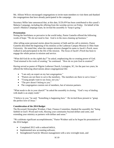Ms. Allison Wilcox encouraged congregations to invite team members to visit them and thanked the congregations that have already participated in the campaign.

Secretary Miller later announced that, at this date, \$120,459 has been contributed to this synod's Malaria Campaign, including the offering from the worship service on Friday. On behalf of the synod's Malaria Campaign team, he invited the assembly to "keep it going."

#### **Presentation**

Noting the fearfulness so pervasive in the world today, Pastor Gamelin offered the following words of hope: "We do not need to fear. God is in the mess cleaning up business."

After telling some personal stories about his journey of faith and his call to ministry, Pastor Gamelin described the beginning of his ministry at the Lutheran Campus Mission to Ohio State University. He noted that, when the campus mission changed its name to Jacob's Porch, more walked in and participated in the life of the mission. The focus of Jacob's Porch has been to engage the whole person in mission and service.

"What did God do on the eighth day?" he asked, emphasizing the re-creating power of God. "God returned to his work of creating," he continued. "How do we join God in creation?"

Having served as pastor of Pilgrim Lutheran Church, Lexington, SC, for the past two years, he offered the following observations about congregational life:

- "I am only an expert on my last congregation."
- "Pastors are not there to serve the members. The members are there to serve Jesus."
- "Young people want to see Jesus, not you."
- "The pew doesn't belong to you."
- The congregation consists not of members, but of mission partners.

"What needs to die in your church?" he asked the assembly in closing. "God's way of dealing with death is an empty tomb."

"I believe in you," he said. "Something is happening here." He invited those present to "grasp the perfect love of Jesus."

#### **Consideration of the 2014 Budget**

The Reverend Christopher Weidner, Chair, Finance Committee, thanked the assembly for "being faithful in God's Word and work, blessing your community beyond dollars and cents, and extending your ministry as partners with dollars and sense."

"We celebrate significant accomplishments," Pastor Weidner said as he began his presentation of the 2014 budget:

- Completed 2012 with a reduced deficit,
- Implemented new accounting software,
- Strengthened *Fund for Mission* management with a new oversight team, and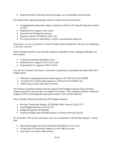Renewed efforts to interpret mission through a new stewardship resource team.

He identified the ongoing challenges and new realities that the synod faces:

- Congregational partnership support continues to decline: 4% annually long-term and 6% in 2012,
- Reduced ELCA support to the synod,
- Increased cost-sharing for missions,
- Property expense: \$170,000 in 2012, and
- No recent increase in staff salaries, which is unsustainable long-term.

Noting that "we owe you honesty," Pastor Weidner acknowledged that "all of us are challenged to do more with less."

Pastor Weidner noted the ways that the synod has responded to these ongoing challenges and new realities:

- Continued restrained spending in 2012,
- Reduced ELCA support 0.5% in 2013, and
- Proposing ELCA support at 50% in 2014.

As such, he continued, the Finance Committee is proposing a reasonable and responsible 2014 budget which:

- Maintains congregational partnership support at the 2013 level: \$2,100,000,
- Commits ELCA Partnership Support at a 50% level: \$1,050,000, and
- Makes long overdue staff salary increases.

The Finance Committee believes that the proposed 2014 budget maintains fiscal priorities, sustains operations, and provides core support for mission. The committee projects a balanced budget for 2014, committing the anticipated surplus to the *Fund for Mission.*

Pastor Weidner offered the following 2014 budget summary:

- Revenue: Partnership Support, \$2,100,000; Other Sources, \$1,412,570
- Total Budgeted Revenue: \$3,512,570
- Budgeted Expenses: \$3,484,060
- Projected Surplus (after \$25,000 transfer to *Fund for Mission*): \$3,510

He concluded, "We ask for your prayer and your commitment to Partnership Support," noting that:

- Partnership Support has been reduced by \$500,000 over five years,
- Giving today to Partnership Support is at the 1980 level; and
- Any further cuts reduce effectiveness.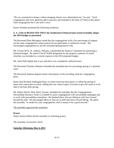"We are committed to being a robust changing church, not a diminished one," he said. "Each congregation and every generous gift is precious and essential to the body of Christ in this place! Each congregation has a role and a voice."

Pastor Weidner presented the following resolution:

#### **S. A. 13.05.14 RESOLVED THAT the Southeastern Pennsylvania Synod Assembly adopts the 2014 budget as presented.**

The Reverend Ellen Meissgeier noted that the congregations with a low percentage of support are the same congregations whose pastors do not participate in conference events. She encouraged congregations to ask the non-participating pastors why.

Mr. Everett Wick, St. Andrew, Perkasie, commended the Finance Committee for presenting a balanced budget. He asked if the \$170,000 designated for the property expenses of closed churches was included as a current expense in the 2014 proposed budget.

Ms. Janet Neff replied that it was and that it was considered a deferred asset.

The Reverend Timothy Johansen reminded the assembly that low percentage giving is a spiritual issue.

The Reverend Andrena Ingram noted a discrepancy in the recording what her congregation gives.

Pastor Karl Richard challenged those, to whom much has been given, to offset the giving of those who cannot give as much, adding that one cannot expect everyone to give the same or to be able to increase their giving.

Mr. Robert Hensil, Holy Spirit, Secane, reminded the assembly that the Congregational Stewardship Resource Team is available to assist congregations with stewardship campaigns and to work with stewardship committees. He thanked those who are tithing or who have moved beyond the tithe. He encouraged others to step out in faith and move toward tithing. He asked the assembly "to model for your congregations what it means to be a good steward."

#### The assembly approved the resolution.

#### **Prayer**

Pastor Serena Sellers led the assembly in stretching prayer.

*The assembly recessed for lunch.*

#### **Saturday Afternoon, May 4, 2013**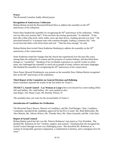#### **Prayer**

The Reverend Cornelius Eaddy offered prayer.

#### **Recognition of Anniversary Celebrants**

Bishop Burkat invited the Reverend Richard Hess to address the assembly on the  $50<sup>th</sup>$ anniversary of his ordination.

Pastor Hess thanked the assembly for recognizing the 50<sup>th</sup> anniversary of his ordination. "What was my fifty-year journey like? It has not been rip-roaring spectacular," he admitted. "It has been like a blue-chip stock, fairly stable, more ups than downs, trending upward over time." He described himself as "a **c**ommon man with common thoughts, leading a common life," who loved God and others with all his heart and soul. "That has been enough," he said.

Bishop Burkat then invited Sister Katherine Homburg to address the assembly on the  $50<sup>th</sup>$ anniversary of her consecration.

Sister Katherine noted the changes that the church has experienced over the past fifty years, among them the ordination of women and the presence of women bishops, and described those changes as "wonderful." Speaking of her invaluable experience as a parish worker in urban areas, she challenged the assembly to reach out to people of many cultures and many languages. She thanked the assembly for recognizing the  $50<sup>th</sup>$  anniversary of her consecration.

Since Pastor Howard Weidemoyer was present on the assembly floor, Bishop Burkat recognized him on the  $60<sup>th</sup>$  anniversary of his ordination.

#### **Third Report of the Committee on General Elections and Balloting**

Pastor Eisenhart reported the results of the first ballot for Ticket 5.

**TICKET 5, Synod Council – Lay Woman at Large** (One to be elected for a term ending 2016) 362 total ballots, 361 valid ballots, 181 votes needed to elect Jane Roper, 162; Diane Casey, 99; Dorothy Wilson, 97

The assembly then cast votes for the second ballot of Ticket 5.

#### **Introduction of Candidates for Ordination**

The Reverend Nancy Brown, Director of Candidacy, and Mr. Fred Reniger, Chair, Candidacy Committee, introduced the candidates approved for the ELCA roster: Ms. Ruth Bullwinkle, Mr. Alex Martini, Ms. Allison Wilcox, Mr. Timothy Ness, Ms. Alina Gayeuski, and Ms. Leila Ortiz.

#### **Report of Synod Council**

Bishop Burkat noted that this was Ms. Patricia Robinson's last report as Vice President. She thanked Ms. Robinson for her "wisdom, support, and counsel," remarking that she navigated the Synod Council through several very challenging years. She described Ms. Robinson as "a woman of strong faith, gracious compassion, a commitment to fairness, and a contagious love for Jesus."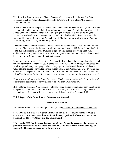Vice President Robinson thanked Bishop Burkat for her "partnership and friendship." She described herself as "a humble servant trying to do God's will," and added, "It's been an incredible journey."

Vice President Robinson expressed thanks to the members of the Synod Council, noting that they have grappled with a number of challenging issues this past year. She told the assembly that the Synod Council has continued the practice of "going on the road" this year by holding their meetings at various locations throughout the synod. She thanked God's Love, Newtown; the Lutheran Theological Seminary at Philadelphia; St. Matthew, Woodlyn; St. Andrew, Audubon; and Calvary, West Chester, for their hospitality.

She reminded the assembly that the Minutes contain the actions of the Synod Council over the past year. She acknowledged that the resolution, approved by the 2012 Synod Assembly **(S. A. 12.05.15)** and directing the Synod Council to appoint a task group to develop Sabbatical Guidelines for this synod's rostered leaders, did not get the attention that it deserved and would be referred to the Synod Council for action this year.

In a moment of personal privilege, Vice President Robinson thanked the assembly and the synod for "the opportunity to represent you over the past 12 years." She continued, "I've worked with two bishops and many other people, visited congregations, and attended events. It's been a wonderful experience, knowing and living in the Southeastern Pennsylvania Synod," which she described as "the greatest synod in the ELCA." She admitted that she could not have done her job as Vice President "without the support of a lot of you and my mother looking down on me."

"I leave you with hope for the future," she said. "You have answered the call. Aim for the sky." She extended best wishes to newly elected Vice President Tracey Beasley.

Bishop Burkat presented Vice President Robinson with a plaque containing adjectives, submitted by synod staff and Synod Council members and describing Ms. Robinson's many wonderful personal traits. Secretary Miller presented a vase of flowers to Vice President Robinson.

#### **Third Report of the Committee on Reference and Counsel**

#### **Resolution of Thanks**

Ms. Meuser presented the following resolution, which the assembly approved by acclamation:

#### **S. A. 13.05.15 Whereas it is right at all times and in all places to give thanks for God's grace, mercy, and the extraordinary gifts of the Holy Spirit which bless and release the people of God to serve Christ and His Church, and**

**Whereas the 2013 Southeastern Pennsylvania Synod Assembly has earnestly engaged in prayerful discussions, deliberations and decisions, and has experienced the blessings of many gifted leaders, workers and volunteers, and**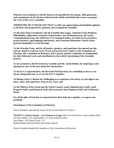**Whereas God continues to call the church to be grateful for the energy, skill, generosity, and commitment of all who have labored, both visibly and behind-the-scenes, to prosper the work of this year's assembly;** 

**THEREFORE BE IT RESOLVED THAT we offer our appreciation and thankful applause to all those who prepared for, planned, and arranged the assembly:**

**To the Floor Page Coordinator and all Assembly floor pages, volunteers from Mediator, Philadelphia, registration assistants, forum leaders, our Parliamentarian, the Synod Communications team, the staff from CCI Communications, our food service providers, prayer partners, sign language interpreters, and Franconia Mennonite Church whose gracious hospitality is a true blessing;**

**To the Worship Team, and for all leaders, speakers, and musicians who opened our lips and our minds to embrace God's Word and beckon God's Spirit; to the Committee on Elections, the Committee on Reference and Counsel, and the Committee on Nominations, for their dedicated work and contribution to the orderly functioning of the Assembly process;**

**To our presenters, the Reverend Jay Gamelin and Mr. Justin Rimbo, for inspiring us and opening our eyes to the post-modernist touchstones;**

**To the ELCA representative, the Reverend Neil Harrison, for reminding us that we are always being made new as we are the ELCA together;**

**To Bishop Claire S. Burkat for challenging us to experience the clarity to God-sight to see, know, show, and experience Jesus in new ways; and**

**To the Officers of the Synod and the Synod Council, synod Administrative Staff, synod Program Staff, synod Pastoral Staff, and synod part-time Deployed Staff, and Conference Deans.**

**For all the gifts of God that we experienced in these holy days together, we express our gratitude.** 

#### **Final Report of the Committee on Elections**

Pastor Eisenhart reported the results of the second ballot for Ticket 5.

**TICKET 5, Synod Council – Lay Woman at Large** (One to be elected for a term ending 2016) 233 total ballots, 233 valid ballots, 117 votes needed to elect Jane Roper, 120; Diane Casey, 113 Bishop Burkat declared Sister Jane Roper elected.

Pastor Eisenhart thanked the members of the Committee on Elections.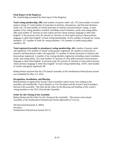#### **Final Report of the Registrar**

Ms. Outterbridge presented the final report of the Registrar:

**Total voting membership, 500;** total number of pastors under call, 176; total number of retired pastors voting, 27; total number of associates in ministry, deaconesses, and diaconal ministers under call, 14; total number of retired associates in ministry and deaconesses voting, 3; total number of lay voting members certified, including council members, youth, and young adults, 280; total number of "persons of color and/or persons whose primary language is other than English" in the previous total, 82; percent of "persons of color and/or persons whose primary language is other than English" of total voting membership, 16.4%; number of female lay voting members, 127; number of male lay voting members, 110; number of youth/young adults members, 28.

**Total registered (actually in attendance) voting membership, 441;** number of pastors under call registered, 154; number of retired voting pastors registered, 20; number of associates in ministry and deaconesses under call registered, 13; number of retired associates in ministry and deaconesses registered, 2; number of lay voting members registered, including council members, youth, and young adults, 252; total number of "persons of color and/or persons whose primary language is other than English" in previous total, 82; percent of "persons of color and/or persons whose primary language is other than English" of total voting membership, 18.6%; total number of visitors and guests registered, 88.

Bishop Burkat reported that the 27th annual Assembly of the Southeastern Pennsylvania Synod was scheduled for May 2-3, 2014.

#### **Recognition, Installation, and Blessing**

Bishop Burkat recognized the Synod Council members whose terms were ending at this assembly and installed Ms. Tracey Beasley as Vice President and the Synod Council members elected at this assembly. She then led the order for the Blessing and Sending of this synod's voting members to the 2013 Churchwide Assembly.

#### **Order for the Closing of the Assembly**

Bishop Burkat led the Order for the Closing of the Assembly. The twenty-sixth annual Assembly of the Southeastern Pennsylvania Synod adjourned at 3:25 p.m.

The Reverend Raymond A. Miller Secretary Southeastern Pennsylvania Synod, ELCA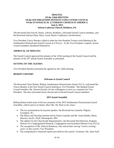#### **MINUTES Of the 126th MEETING Of the SOUTHEASTERN PENNSYLVANIA SYNOD COUNCIL Of the EVANGELICAL LUTHERAN CHURCH IN AMERICA June 6, 2013 Advent Lutheran Church, Richboro, PA**

The Reverend Paul Sorcek, Pastor, Advent, Richboro, welcomed Synod Council members, and the Reverend Jackson Haas, Dean, Lower Bucks Conference, led devotions.

Vice President Tracey Beasley called to order the One Hundred Twenty-sixth Meeting of the Southeastern Pennsylvania Synod Council at 4:30 p.m. At the Vice President's request, Synod Council members introduced themselves.

#### **APPROVAL OF MINUTES**

The Synod Council approved the minutes of the 125th meeting of the Synod Council and the minutes of the  $26<sup>th</sup>$  annual Synod Assembly as presented.

#### **SETTING OF THE AGENDA**

Vice President Beasley presented the agenda for the 126th meeting.

#### **BISHOP'S REPORT**

#### **Welcome to Synod Council**

The Reverend Claire Burkat, Bishop, Southeastern Pennsylvania Synod, ELCA, welcomed Ms. Tracey Beasley to her first Synod Council meeting as Vice President. She thanked Synod Council member, Ms. Doreen Kinzler, for her willingness to serve as a nominee for Vice President. She also welcomed newly elected and re-elected Synod Council members.

#### **2013 Synod Assembly**

Bishop Burkat noted some of the key moments of the 2013 Southeastern Pennsylvania Synod Assembly, which used as its theme, *Show Me: We Want to See Jesus:*

- The two presentations by keynote speaker, the Reverend Jay Gamelin, Pilgrim, Lexington, SC;
- The Music and Worship Seminar led by Pastor Gamelin and Mr. Justin Rimbo, Music Director, Jacob's Well, Minneapolis, MN;
- The address by the Churchwide Representative, the Reverend Neil Harrison, Program Director for Congregational Renewal, Congregation and Synodical Mission Unit, ELCA;
- The recognition of Ms. Patricia Robinson, who retired after serving "twelve exciting" years" as this synod's Vice President;
- The comprehensive financial reports provided by this synod's Treasurer, Ms. Janet Neff;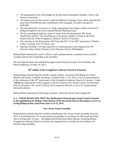- The presentation of the 2014 budget by the Reverend Christopher Weidner, Chair of the Finance Committee;
- The update given by this synod's youth-led Malaria Campaign Team, which reported that more than \$120,000 has been contributed to the campaign, well above the goal of \$100,000;
- The announcement of resources to "help congregations encourage a culture of mission," being developed by the newly formed Mission Planning Team;
- The live greetings brought by means of skype from the missionaries, Ms. Susan MacPherson and Mr. Tom MacPherson, at the Irente Children's Home in the North Eastern Diocese of the Evangelical Lutheran Church of Tanzania;
- The reminder by the Reformation 500 Team that 2017 is the  $500<sup>th</sup>$  anniversary of Martin Luther's posting of the 95 Theses; and
- Saturday morning's worship experience of centering prayer and singing led by Mr. Waverly Alston, Music Director of the Welcome Church, Philadelphia.

Bishop Burkat thanked the synod's officers, staff, parliamentarian, committee chairs, and the worship team for their leadership at the assembly.

She also thanked those who attended the appreciation dinner for former Vice President, Ms. Patricia Robinson, on May 10, 2013.

## **50th Jubilee of the Evangelical Lutheran Church of Tanzania**

Bishop Burkat reported that she and Ms. Joanne Carlson, Assistant to the Bishop for Global Mission and Events, would be traveling to Tanzania June 11-25, 2013, as ELCA representatives at the celebration of the 50<sup>th</sup> anniversary of the Evangelical Lutheran Church of Tanzania. Under **+S8.58, s**he indicated her wish to appoint, with the consent of the Synod Council, the Reverend Patricia Davenport, this synod's Director for Evangelical Mission, to serve as "acting bishop" during her absence.

Bishop Burkat presented the following resolution, which the Synod Council approved:

## **S. C. 13.06.01 RESOLVED THAT the Southeastern Pennsylvania Synod Council consents to the appointment by Bishop Claire Burkat of the Reverend Patricia Davenport to serve as Acting Bishop of this synod from June 11 to 25, 2013.**

#### **New Jersey Synod Assembly**

Bishop Burkat reported that she would be attending the New Jersey Synod Assembly June 6-8, 2013, in East Brunswick, NJ, as that synod says goodbye to its bishop, the Reverend Roy Riley, who is retiring after 22 years. She added that the Reverend Mark Hanson, Presiding Bishop, Evangelical Lutheran Church in America, has appointed her to mentor the new bishop to be elected at that assembly.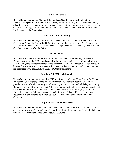#### **Lutheran Charities**

Bishop Burkat reported that Ms. Carol Hammarberg, Coordinator of the Southeastern Pennsylvania Synod's Lutheran Charities Appeal, has retired, adding that she would be joining other Social Ministry Organization representatives in examining how and in what form Lutheran Charities should organize for the future. She hoped to have a recommendation for the September 2013 meeting of the Synod Council.

#### **2013 Churchwide Assembly**

Bishop Burkat reported that, on May 19, 2013, she met with this synod's voting members of the Churchwide Assembly, August 12-17, 2013, and reviewed the agenda. Mr. Bert Glenn and Ms. Linda Manson reviewed the basic components of the proposed social statement, *The Church and Criminal Justice: Hearing the Cries.*

#### **Portico Benefits**

Bishop Burkat noted that Portico Benefit Services' Regional Representative, Ms. Barbara Demski, reported at the 2013 Synod Assembly that her organization is committed to leading the ELCA through the changes mandated by the Affordable Care Act and that further details would be available in August 2013. Among the documents made available to Synod Council members for this meeting was the *ELCA Philosophy of Benefits* statement.

#### **Battalion Chief Michael Goodwin**

Bishop Burkat reported that, on April 6, 2013, the Reverend Marjorie Neale, Pastor, St. Michael, Philadelphia (Kensington), led the funeral service for Mr. Michael Goodwin, St. Michael's president and a Philadelphia firefighter who died fighting a blaze in South Philadelphia. Bishop Burkat also reported that, on May 17, 2013, she served as Master of Ceremonies and preached at the Memorial Service for Mr. Goodwin, sponsored by the Office of the Mayor, the City of Philadelphia, and the Religious Leaders Council of Greater Philadelphia, and crafted by the Reverend William Vanderslice, Pastor, St. Paul, Red Hill, and a childhood friend of Mr. Goodwin.

#### **Approval of a New Mission Field**

Bishop Burkat reported that Ms. Leila Ortiz declined the call to serve as the Mission Developer of Learning/Knowing Christ Latino/a Ministry, located at St. Paul Lutheran Church, Philadelphia (Olney), approved by the Synod Council (**S. C. 13.04.02).**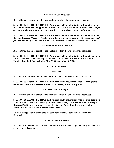#### **Extension of Call Requests**

Bishop Burkat presented the following resolutions, which the Synod Council approved:

**S. C. 13.06.02 RESOLVED THAT the Southeastern Pennsylvania Synod Council requests that the Reverend David Oppold be granted a two-year extension of** *On Leave from Call for Graduate Study* **status from the ELCA Conference of Bishops, effective February 1, 2013.**

**S. C. 13.06.03 RESOLVED THAT the Southeastern Pennsylvania Synod Council requests that the Reverend Margaret Ainslie be granted a two-year extension of** *On Leave from Call for Graduate Study* **status from the ELCA Conference of Bishops, effective June 1, 2013.**

#### **Recommendation for a Term Call**

Bishop Burkat presented the following resolution, which the Synod Council approved:

**S. C. 13.06.04 RESOLVED THAT the Southeastern Pennsylvania Synod Council approves a three-year term to Sister Margaret Thorne as Bereavement Coordinator at Gentiva Hospice, Blue Bell, PA, beginning May 29, 2013 to May 28, 2016.** 

#### **Action on the Roster**

#### *Retirement*

Bishop Burkat presented the following resolution, which the Synod Council approved:

#### **S. C. 13.06.05 RESOLVED THAT the Southeastern Pennsylvania Synod Council grants**  *retirement* **status to the Reverend David B. Anderson, effective July 1, 2013.**

#### *On Leave from Call Requests*

Bishop Burkat presented the following resolution, which the Synod Council approved:

**S. C. 13.06.06 RESOLVED THAT the Southeastern Pennsylvania Synod Council grants** *on leave from call* **status to Sister Mary Julia McKenzie, 1st year, effective June 30, 2013; the Reverend William McGowan, 1st year, effective July 1, 2013; and Ms. Nancy Selinger, Diaconal Minister, 1st year, effective June 9, 2013.**

To avoid the appearance of any possible conflict of interest, Sister Mary Julia McKenzie abstained.

#### **Removal from the Roster**

Bishop Burkat reported that the Reverend Lindsay Allen Rhodenbaugh voluntarily resigned from the roster of ordained ministers.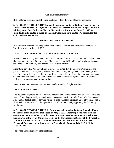## **Call to Interim Ministry**

Bishop Burkat presented the following resolution, which the Synod Council approved:

**S. C. 13.06.07 RESOLVED THAT, upon the recommendation of Bishop Claire Burkat, the Southeastern Pennsylvania Synod Council calls the Reverend Donna M. Wright to interim ministry at St. John Lutheran Church, Melrose Park, PA, starting June 17, 2013 and extending until a pastor is called by the congregation or until Pastor Wright resigns this call, whichever comes first.**

#### **Memorial Service for Dr. Sheneman**

Bishop Burkat reported that she planned to attend the Memorial Service for the Reverend Dr. Lloyd Sheneman on June 29, 2013.

#### **EXECUTIVE COMMITTEE AND VICE PRESIDENT'S REPORT**

Vice President Beasley thanked the Executive Committee for the "sweet and kind" welcome that she received at the May 2013 meeting. She added that she is "humbled and privileged to serve the synod. As you know," she continued, "I love the church."

Describing herself as "the new sheriff in town," she noted that the Executive Committee had placed time limits on the agenda, reduced the number of regular Synod Council meetings this year from five to four, and set the time for dinner later in the meeting. She requested that Synod Council members send her an email at least one week before each Synod Council meeting to indicate if they do not plan to stay for dinner.

She indicated that the orientation for new members would take place at dinner.

#### **SECRETARY'S REPORT**

The Reverend Raymond Miller, Secretary, reported that, by the closing date on May 1, 2013, the Synod Council approved by an email vote a one-year extension for Ms. Susan MacPherson and Mr. Thomas MacPherson to serve as volunteer missionaries in Tanzania: 25 total votes, 24 yes, 1 abstained. He requested that the Synod Council affirm that vote by approving the following resolution:

**S. C. 13.06.08 RESOLVED THAT the Southeastern Pennsylvania Synod Council affirms the results of the email vote that closed on May 1, 2013, approving a one-year extension (November 2013-November 2014) for Susan and Tom MacPherson to serve as volunteer missionaries at the Irente Children's Home in the North Eastern Diocese of the Evangelical Lutheran Church of Tanzania. This extension is to be a continuation of the Shared Personnel Placement by the Southeastern Pennsylvania Synod and the ELCA Global Mission Unit.**

The Synod Council approved the resolution.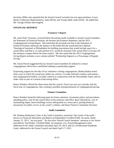Secretary Miller also reported that the Synod Council currently has two open positions: Lower Bucks Conference Representative, male (2014), and Young Adult, male (2016). He added that Mr. George Schultz had resigned.

## **FINANCIAL REPORTS**

#### **Treasurer's Report**

Ms. Janet Neff, Treasurer, reviewed three documents made available to Synod Council members: the Statement of Financial Position, the Income and Expense Statement, and the 2013 Congregational Giving Report. She noted that the pre-paid rent line in the Statement of Financial Position represents the balance of the funds that the synod paid the Lutheran Theological Seminary at Philadelphia for building renovations that would include space for a synod office and that it, or some portion of it, would be returned if the synod office re-locates off the seminary campus before the lease expires. She also noted that the 2013 Congregational Giving Report includes a new column entitled "Partnership Support as a Percentage of Regular Giving."

Ms. Susan Pursch suggested that lay Synod Council members be utilized to contact congregations which have contributed nothing to partnership support.

Expressing support for the idea of lay volunteers visiting congregations, Bishop Burkat noted three ways in which the synod may utilize lay visitors: (1) make informal contacts with pastors and congregational leaders, (2) make contacts in conjunction with the Stewardship Team, and (3) make visits as part of a serious fund-raising effort.

Pastor Weidner offered the observation that the synod's fiscal year may not coincide with the fiscal year of congregations, thus creating a possible misrepresentation of congregational giving.

#### **Finance Committee**

Pastor Weidner listed the following items for future attention: investment policy and procedures, spending policy, rent for the synod office at the seminary and office space alternatives, cost of maintaining empty church buildings versus selling them at a lower price, posting financial documents for public review on the synod's website, and future Finance Committee Structure.

#### **Audit Committee**

Mr. Rodman Rothermel, Chair of the Audit Committee, noted that "the results of the audit," known as *Financial Statements and Report of Independent Certified Public Accounts,* dated January 31, 2013, "are not good." He also drew Synod Council members' attention to two letters provided by Tait/Weller, Certified Public Accountants: (1) a Synod Management Letter, addressed to the Audit Committee and dated April 29, 2013, and (2) a Professional Standards Letter, addressed to the Synod Council and dated April 17, 2013.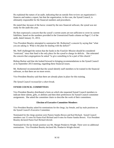He explained the nature of an audit, indicating that an outside firm reviews an organization's finances and makes a report, but that the organization, in this case, the Synod Council, is ultimately responsible for the financial numbers and procedures.

He stated that, because of the havoc created by the new financial software, the synod was not ready for the audit this year.

He then expressed a concern that the synod's current assets are not sufficient to cover its current liabilities, based on the numbers provided in the Unrestricted Funds column on Page C-5 of the audit, dated January 31, 2013,

Vice President Beasley attempted to summarize Mr. Rothermel's concern by saying that "what you are asking is: What is the plan for dealing with the deficit?"

Ms. Neff challenged the notion that the funds in the *Fund for Mission* should be considered "restricted," since that fund is the only place for the synod to charge its deficits. She reiterated the concern that congregations be asked "to give something to be a part of this church."

Bishop Burkat said that she looked forward to bringing recommendations to the Synod Council at its September 2013 meeting, regarding these financial issues.

Mr. Rothermel recommended that the synod identify staff members to be trained in the financial software, so that there are no more errors.

Vice President Beasley said that there are already plans in place for this training.

*The Synod Council recessed for a short break.*

## **SYNOD COUNCIL COMMITTEES**

Vice President Beasley distributed a form on which she requested Synod Council members to indicate three talents, gifts, or abilities and then their preferences for Synod Council committee assignments. She asked the committee chairs to describe the work of their committees.

#### **Election of Executive Committee Members**

Vice President Beasley asked for nominations for the clergy, lay female, and lay male positions on the Synod Council's Executive Committee.

Nominated for the clergy position were Pastors Sandra Brown and Karl Richard. Synod Council members cast 15 votes for Pastor Karl Richard and 8 votes for Pastor Sandra Brown. Vice President Beasley declared Pastor Karl Richard elected.

Nominated for the lay female position was Ms. Margie Pendarvis-Wright. There were no additional nominations. Vice President Beasley declared Ms. Pendarvis-Wright elected.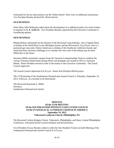Nominated for the lay male position was Mr. Robert Hensil. There were no additional nominations. Vice President Beasley declared Mr. Hensil elected.

## **OLD BUSINESS**

Sister Mary Julia McKenzie asked about the development of a sabbatical policy for roster leaders in response to **S. A. 12.05.15.** Vice President Beasley reported that the Executive Committee is considering options.

#### **NEW BUSINESS**

Bishop Burkat commented on the election of the Reverend Craig Satterlee, who is legally blind, as bishop of the North/West Lower Michigan Synod, and the Reverend R. Guy Erwin, who is a partnered gay man and a Native American, as bishop of the Southwest California Synod, and noted that these elections challenge us to consider how the work of the bishop may be done differently in the future.

Secretary Miller presented a request from the Tanzania Companionship Team to combine the various Tanzania-related fund-raising efforts and designate one month in 2014 as *Tanzania Month*. Pastor Weidner moved to refer to the matter to the Executive Committee. The Synod Council approved.

The Synod Council adjourned at 6:35 p.m. Pastor Karl Richard offered prayer.

The 127th meeting of the Southeastern Pennsylvania Synod Council is Thursday, September 19, 2013, 4:00 p.m., at a location to be determined.

The Reverend Raymond A. Miller **Secretary** Southeastern Pennsylvania Synod

#### **MINUTES Of the 127th MEETING Of the SOUTHEASTERN PENNSYLVANIA SYNOD COUNCIL Of the EVANGELICAL LUTHERAN CHURCH IN AMERICA September 19, 2013 Tabernacle Lutheran Church, Philadelphia, PA**

The Reverend Carlton Rodgers, Pastor, Tabernacle, Philadelphia, and Dean, Central Philadelphia Conference, welcomed Synod Council members and led devotions.

Vice President Tracey Beasley called to order the One Hundred Twenty-seventh Meeting of the Southeastern Pennsylvania Synod Council at 4:15 p.m.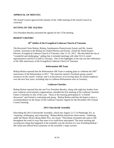#### **APPROVAL OF MINUTES**

The Synod Council approved the minutes of the 126th meeting of the Synod Council as corrected.

#### **SETTING OF THE AGENDA**

Vice President Beasley presented the agenda for the 127th meeting.

#### **BISHOP'S REPORT**

## **50th Jubilee of the Evangelical Lutheran Church of Tanzania**

The Reverend Claire Burkat, Bishop, Southeastern Pennsylvania Synod, and Ms. Joanne Carlson, Assistant to the Bishop for Global Mission and Events, visited the North Eastern Diocese, Evangelical Lutheran Church of Tanzania, June 11-25, 2013. She described the trip as "wonderful and challenging," adding that it included meetings with other ELCA synod representatives and ELCA staff in Tanzania. One of the highlights of the trip was the celebration of the 50th anniversary of the Evangelical Lutheran Church of Tanzania.

#### **Reformation 500 Team**

Bishop Burkat reported that the Reformation 500 Team is making plans to celebrate the 500<sup>th</sup> anniversary of the Reformation in 2017. The team has started a Facebook group, posted resources on the synod's website, and is in the process of reviewing ideas for annual emphases over the next four years, including trips to Lutheran Reformation sites in Germany.

#### **Lutheran Charities**

Bishop Burkat reported that she and Vice President Beasley, along with eight key leaders from area Lutheran social ministry organizations, attended the first meeting of the Lutheran Charities Future Committee in July of this year. Those at the meeting participated in "a fruitful discussion" and formed a continuing task group. Bishop Burkat said that she hopes to have a recommendation on the future of the Lutheran Charities Appeal for the December 2013 Synod Council meeting.

#### **2013 Churchwide Assembly**

Describing the 2013 Churchwide Assembly, which met August 12-17 in Pittsburgh, PA, as "inspiring, challenging, and exhausting," Bishop Burkat shared her observations. Gathering under the theme *Always Being Made New,* she noted, "That theme resonated and came to life throughout the week in ways that none of us could have anticipated. The most startling and exciting new thing that happened at the assembly was the election of a new Presiding Bishop." She listed and offered brief comments on the assembly's major actions: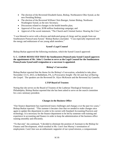- The election of the Reverend Elizabeth Eaton, Bishop, Northeastern Ohio Synod, as the new Presiding Bishop;
- The election of the Reverend William Chris Boerger, former Bishop, Northwest Washington Synod, as the new Secretary;
- Discussions related to changes in the health benefits plan;
- Approval of five-year, \$198 million fundraising campaign; and
- Approval of the social statement, "The Church and Criminal Justice: Hearing the Cries."

"I was blessed to serve with a diverse and dedicated group of clergy and lay people from our Southeastern Pennsylvania Synod," Bishop Burkat concluded. "I was especially impressed with the energy and enthusiasm of our young adult members."

#### **Synod's Legal Counsel**

Bishop Burkat approved the following resolution, which the Synod Council approved:

#### **S. C. 13.09.01 RESOLVED THAT the Southeastern Pennsylvania Synod Council approves the appointment of Mr. John I. Gordon to serve as the Legal Counsel for the Southeastern Pennsylvania Synod until resignation or a successor is appointed.**

#### **Bishop's Convocation**

Bishop Burkat reported that the theme for the Bishop's Convocation, scheduled to take place November 13-15, 2013, in Bethlehem, PA, is *Provocative Insight: The Art and Awe of Sharing the Gospel.* The speakers are the Reverend Dr. Alyce McKenzie and the Reverend Jay Gamelin.

#### **LTSP Board of Trustees**

Noting that she serves on the Board of Trustees of the Lutheran Theological Seminary at Philadelphia, Bishop Burkat reported that she has been asked to serve on the search committee for a new seminary president.

#### **Changes in the Business Office**

"Our finance department has experienced many challenges and changes over the past two years," Bishop Burkat reported. "This summer it became clear that we needed to make changes once again to update this department in order to be current with Standard Accounting Practices and technology. It is necessary for the finance department to be led by someone with training and experience in accounting and finance in order to keep the administration of the business office running smoothly and efficiently.

"To that end," she continued, "I decided to eliminate the position of Assistant to the Bishop for Finance and Development, which resulted in Ms. Carol Ann Murray's termination of employment. Carol Ann was an enthusiastic supporter of our synod mission, a compassionate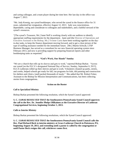and caring colleague, and a team player during her time here. Her last day in the office was August 7, 2013.

"Ms. Judy Koenig, our synod bookkeeper, who served the synod in the finance office for 31 years, submitted her resignation, effective August 12, 2013. Judy was conscientious, dependable, caring and considerate to colleagues and stakeholders, and a faithful steward of the synod's resources.

"[The synod's Treasurer, Ms.] Janet Neff is working closely with our auditors to identify appropriate staffing requirements for the department. Janet and [the Director of Operations and Executive Assistant to the Bishop, Ms.] Yvonne Curtis have been working together on the dayto-day tasks, to keep the finance department moving forward, and to get a clear picture of the type of staffing assistance needed for the immediate future. [Mr.] Martin Schwab, LTSP Business Manager, has served as a consultant for our new financial operating system since February 2013, and now is providing support by preparing financial reports and other bookkeeping tasks as requested."

#### **"God's Work, Our Hands" Sunday**

"We are a church that rolls up its sleeves and gets to work," reported Bishop Burkat. "Across our synod [on the ELCA's designated National Day of Service, Sunday, September 8, 2013], ELCA Lutherans rolled up their sleeves and got to work. Volunteers cleaned up parks, streets, and creeks, helped schools get ready for fall, ran programs for kids, did painting and construction for shelters and clinics, [and] packed thousands of meals." She added that Mr. Robert Fisher, Assistant to the Bishop for Mission Interpretation and Communications, has been collecting stories from congregations.

#### **Action on the Roster**

#### *Call to Specialized Ministry*

Bishop Burkat presented the following resolution, which the Synod Council approved:

#### **S. C. 13.09.02 RESOLVED THAT the Southeastern Pennsylvania Synod Council approves the call to the Rev. Dr. Jennifer Phelps Ollikainen as the Executive Director of Lutheran Congregational Services, beginning October 1, 2013.**

#### *Calls to Interim Ministry*

Bishop Burkat presented the following resolutions, which the Synod Council approved:

**S. C. 13.09.03 RESOLVED THAT the Southeastern Pennsylvania Synod Council calls the Rev. Paul Richard Beck to interim ministry at Grace Lutheran Church in Pottstown, PA, beginning August 19, 2013, and extending until a pastor is called by the congregation or until Pastor Beck resigns this call, whichever comes first.**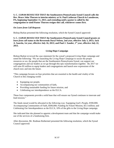#### **S. C. 13.09.04 RESOLVED THAT the Southeastern Pennsylvania Synod Council calls the Rev. Bruce John Thorsen to interim ministry at St. Paul Lutheran Church in Lansdowne, PA, beginning September 11, 2013, and extending until a pastor is called by the congregation or until Pastor Thorsen resigns this call, whichever comes first.**

## *On Leave from Call Requests*

Bishop Burkat presented the following resolution, which the Synod Council approved:

#### **S. C. 13.09.05 RESOLVED THAT the Southeastern Pennsylvania Synod Council grants** *on leave from call* **status to the Reverends Daryl Nelson, 2nd year, effective July 3, 2013; Jack A. Saarela, 1st year, effective July 16, 2013; and Paul J. Xander, 1st year, effective July 22, 2013.**

## **Living Hope Campaign**

Bishop Burkat reviewed the case statement for the synod's proposed *Living Hope* campaign and noted the following: "We are launching the Living Hope Campaign to secure the proper resources so we, the people that are the Southeastern Pennsylvania Synod, can support our congregations and our leaders as we go through this epic transformation together. By 2017 we will raise \$5 million to equip leaders and congregations and launch new expressions of the church now and into the future.

"This campaign focuses on four priorities that are essential to the health and vitality of the Church in this changing world:

- Equipping our people,
- Accompanying our communities of faith,
- Providing sustainable funding for future mission, and
- Celebrating our interdependence as the ELCA.

These four components provide a solid base that will ensure our Synod continues to innovate and lead mission"

The funds raised would be allocated in the following way: Equipping God's People, \$500,000; Accompanying Communities of Faith, \$500,000; Funding for Future Mission, \$3.5 million; and Celebrating Our Interdependence as the ELCA, 10% of the gifts to the Living Hope campaign.

She indicated that she planned to appoint a development team and that the campaign would make use of the services of a fundraising firm.

After discussion, Mr. Rodman Rothermel presented the following resolution, which the Synod Council approved: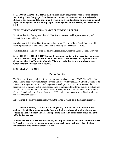**S. C. 13.09.06 RESOLVED THAT the Southeastern Pennsylvania Synod Council affirms the "Living Hope Campaign: Case Statement, Draft 4" as presented and authorizes the Bishop of this synod and the appointed Development Team to select a fundraising firm and report to the Synod Council on its progress at the Synod Council meeting on December 12, 2013.**

#### **EXECUTIVE COMMITTEE AND VICE PRESIDENT'S REPORT**

Vice President Beasley reported that Mr. Fred Brown has resigned his position as a Synod Council lay member at large.

She also reported that Mr. Dan Scharnhorst, Executive Director of Bear Creek Camp, would make a presentation to the Synod Council at its meeting on December 12, 2013.

Vice President Beasley presented the following resolution, which the Synod Council approved:

**S. C. 13.09.07 RESOLVED THAT, upon the recommendation of the Executive Committee and the Tanzania Companionship Team, the Southeastern Pennsylvania Synod Council designates March as** *Tanzania Month* **in 2014 and continuing for the next three years at which time it shall be subject to review.** 

## **SECRETARY'S REPORT**

#### **Portico Benefits**

The Reverend Raymond Miller, Secretary, outlined the changes to the ELCA Health Benefits Plan, administered by Portico Benefit Services and approved by the ELCA Church Council at its meeting on August 11, 2013. The changes were developed by Portico in response to the legal requirements of the Affordable Care Act and include provision for offering to plan members four health plan benefit options: Platinum+, Gold+, Silver+, and Bronze+. He added that the ELCA Church Council at its meeting on August 11, 2013, took action to endorse the Gold+ option as the recommended option.

He presented the following resolution, which the Synod Council, after discussion, approved:

**S. C. 13.09.08 Whereas, at its meeting on August 11, 2013, the ELCA Church Council endorsed the Gold+ option among the four health plan options and pricing alternatives, offered by Portico Benefit Services in response to the health care reform provisions of the Affordable Care Act;**

**Whereas the Southeastern Pennsylvania Synod as part of the Evangelical Lutheran Church in America recognizes that a commitment to comprehensive health care benefits is an investment in "the ministry we share;" and**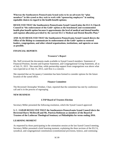**Whereas the Southeastern Pennsylvania Synod seeks to be an advocate for "plan members" in this synod as they seek to work with "sponsoring employers" in making equitable choices in regard to the health benefit options;**

**RESOLVED THAT the Southeastern Pennsylvania Synod Council joins the ELCA Church Council in "the endorsement of the Gold+ option as the benchmark and recommended health plan benefit option because it approximates the level of medical and dental benefits and expense allocation provided by the current ELCA Medical and Dental Benefits Plan;"**

**AND ALSO RESOLVED THAT the Southeastern Pennsylvania Synod Council directs the Office of the Bishop to communicate its endorsement of the Gold+ option to rostered leaders, congregations, and other related organizations, institutions, and agencies as soon as possible.**

#### **FINANCIAL REPORTS**

#### **Treasurer's Report**

Ms. Neff reviewed the documents made available to Synod Council members: Statement of Financial Position, Income and Expense Statement, and Congregational Giving Statement, all as of July 31, 2013. She noted that, while partnership support from congregations was above what was expected as of July 31, 2013, cash flow is a concern.

She reported that an Occupancy Committee has been formed to consider options for the future location of the synod office.

#### **Finance Committee**

The Reverend Christopher Weidner, Chair, reported that the committee has met by conference call and is in the process of regrouping.

#### **NEW BUSINESS**

#### **LTSP Board of Trustees Election**

Secretary Miller presented the following resolution, which the Synod Council approved:

#### **S. C. 13.09.09 RESOLVED THAT the Southeastern Pennsylvania Synod Council elects the Reverend Harry McDowell and Ms. Patricia Robinson as members of the Board of Trustees of the Lutheran Theological Seminary at Philadelphia for terms ending 2016.**

#### **LEARNING MOMENT**

As requested by those participating in the orientation session at the last Synod Council meeting, Secretary Miller presented a brief learning moment, explaining the three sections of the ELCA, synodical, and congregational constitutions (constitutional provisions, bylaws, and continuing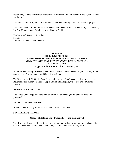resolutions) and the codification of these constitutions and Synod Assembly and Synod Council resolutions.

The Synod Council adjourned at 6:35 p.m. The Reverend Regina Goodrich offered prayer.

The 128th meeting of the Southeastern Pennsylvania Synod Council is Thursday, December 12, 2013, 4:00 p.m., Upper Dublin Lutheran Church, Ambler.

The Reverend Raymond A. Miller Secretary Southeastern Pennsylvania Synod

#### **MINUTES Of the 128th MEETING Of the SOUTHEASTERN PENNSYLVANIA SYNOD COUNCIL Of the EVANGELICAL LUTHERAN CHURCH IN AMERICA December 12, 2013 Upper Dublin Lutheran Church, Ambler, PA**

Vice President Tracey Beasley called to order the One Hundred Twenty-eighth Meeting of the Southeastern Pennsylvania Synod Council at 4:00 p.m.

The Reverend Julie DeWerth, Dean, Lower Montgomery Conference, led devotions and the Reverend Keith Anderson, Pastor, Upper Dublin, Philadelphia, welcomed Synod Council members.

## **APPROVAL OF MINUTES**

The Synod Council approved the minutes of the 127th meeting of the Synod Council as presented.

#### **SETTING OF THE AGENDA**

Vice President Beasley presented the agenda for the 128th meeting.

#### **SECRETARY'S REPORT**

#### **Change of Date for Synod Council Meeting in June 2014**

The Reverend Raymond Miller, Secretary, reported that the Executive Committee changed the date of a meeting of the Synod Council next year from June 26 to June 5, 2014.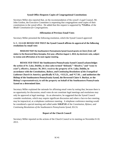#### **Synod Office Requests Copies of Congregational Constitutions**

Secretary Miller also reported that, on the recommendation of the synod's Legal Counsel, Mr. John Gordon, the Executive Committee is requesting that congregations send copies of their constitutions to the synod office. He added that this request is supported by **\*C6.03.e.** of the *Model Constitution for Congregations.*

#### **Affirmation of Previous Email Votes**

Secretary Miller presented the following resolution, which the Synod Council approved:

## **S. C. 13.12.01 RESOLVED THAT the Synod Council affirms its approval of the following resolutions by email vote:**

**RESOLVED THAT the Southeastern Pennsylvania Synod Council grants** *on leave from call status* **to the Reverend Mary Konopka, first year, effective August 1, 2013, by electronic vote, subject to review and affirmation at its next regular meeting.**

**RESOLVED THAT the Southeastern Pennsylvania Synod Council acknowledges the action of St. Luke, Dublin, to close (also termed "disband," "dissolve," and "cease to exist"), effective, January 30, 2011; receives the property of St. Luke, Dublin, in accordance with the** *Constitutions, Bylaws, and Continuing Resolutions of the Evangelical Lutheran Church in America***, specifically 9.71.b., +S13.23., and \*C7.01. ; and authorizes the Bishop of the Southeastern Pennsylvania Synod, the Reverend Claire S. Burkat, or the Bishop's representative(s), to sell the property on behalf of the Southeastern Pennsylvania Synod on a determined date.**

Secretary Miller explained the rationale for affirming email votes by noting that, because there is no opportunity for discussion, email votes do not constitute legal meetings and resolutions may only be approved at legal meetings. As an alternative, he suggested that the Synod Council consider resolutions, which may require significant discussion and where a face-to-face meeting may be impractical, at a telephone conference meeting. A telephone conference meeting would be considered a special meeting and called under **S10.07.01** of the *Constitution, Bylaws, and Continuing Resolutions of the Southeastern Pennsylvania Synod, ELCA.*

#### **Report of the Church Council**

Secretary Miller reported on the actions of the Church Council at its meeting on November 8-10. 2013.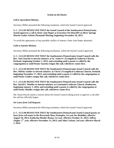#### **Action on the Roster**

#### *Call to Specialized Ministry*

Secretary Miller presented the following resolution, which the Synod Council approved:

**S. C. 13.12.02 RESOLVED THAT the Synod Council of the Southeastern Pennsylvania Synod approves a call to Sister Jane Roper as Executive-On-Duty/RN at Silver Springs Martin Luther School, Plymouth Meeting, beginning November 18, 2013.**

To avoid the appearance of any possible conflict of interest, Sister Jane Roper abstained.

#### *Calls to Interim Ministry*

Secretary Miller presented the following resolutions, which the Synod Council approved:

**S. C. 13.12.03 RESOLVED THAT the Southeastern Pennsylvania Synod Council calls the Rev. Jack Saarela to interim ministry at St. Andrew's Evangelical Lutheran Church, Perkasie, beginning October 1, 2013, and extending until a pastor is called by the congregation or until Pastor Saarela resigns this call, whichever comes first.**

**S. C. 13.12.04 RESOLVED THAT the Southeastern Pennsylvania Synod Council calls the Rev. Shirley Guider to interim ministry at Christ's Evangelical Lutheran Church, Oreland, beginning November 17, 2013, and extending until a pastor is called by the congregation or until Pastor Guider resigns this call, whichever comes first.**

**S. C. 13.12.05 RESOLVED THAT the Southeastern Pennsylvania Synod Council calls the Rev. David E. Mueller to interim ministry at Centennial Lutheran Church, Kimberton, beginning January 1, 2014, and extending until a pastor is called by the congregation or until Pastor Mueller resigns this call, whichever comes first.**

Ms. Susan Pursch raised a concern about the Synod Council taking action to approve a call after the call has officially begun.

#### *On Leave from Call Requests*

Secretary Miller presented the following resolution, which the Synod Council approved:

**S. C. 13.12.06 RESOLVED THAT the Southeastern Pennsylvania Synod Council grants** *on leave from call* **status to the Reverends Mary Konopka, 1st year for disability, effective August 10, 2013; Katherine Bender Braun, 1st year, effective October 21, 2013; Jeffrey Ziegler, 1st year, effective November 15, 2013; and John Carlson, 3rd year, effective March 1, 2014.**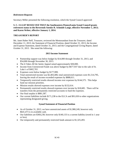#### *Retirement Requests*

Secretary Miller presented the following resolution, which the Synod Council approved:

#### **S. C. 13.12.07 RESOLVED THAT the Southeastern Pennsylvania Synod Council grants**  *retirement* **status to the Reverends Soenke R. Schmidt-Lange, effective November 1, 2013; and Karen Weber, effective January 1, 2014.**

#### **TREASURER'S REPORT**

Ms. Janet Huber Neff, Treasurer, reviewed the Memorandum from the Treasurer, dated December 11, 2013; the Statement of Financial Position, dated October 31, 2013; the Income and Expense Statement, dated October 31, 2013; and the Congregational Giving Report, dated October 31, 2013. She noted the following:

#### **2013 Income Statement**

- Partnership support was below budget by \$14,000 through October 31, 2013, and \$54,000 through November 30, 2013.
- The *It Takes All the Saints* Appeal raised approximately \$30,000.
- Income from Unrestricted Funds was above budget by \$677,937 due to the sale of St. Luke's of \$802,703.
- Expenses were below budget by \$177,999.
- Total unrestricted income was \$2,403,406; total unrestricted expenses were \$1,514,795, leaving the result of income exceeded expenses by \$888,611.
- Temporarily restricted results showed income over expenses by \$144,575. This helps fund our mission priorities.
- Mission results showed expenses over income by \$132,614.
- Permanently restricted results showed expenses over income by \$18,685. There will be transfers from the permanently restricted accounts to fund the expenses.
- Our final surplus is \$881,587.
- Our current liabilities include \$171,238 to the ELCA and \$91,650 to other organizations representing designated giving.

#### **Synod Statement of Financial Position**

- As of October 31, 2013, we have unrestricted assets of \$1,980,249, however only \$641,473 is in available cash.
- Our liabilities are \$369,230; however only \$140,133 is a current liability (owed in 1 year or less).
- Our temporarily and permanently restricted funds amount to \$1,325,493.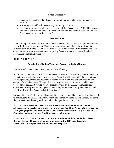## **Synod Occupancy**

- A committee was formed to discuss various alternatives and to assess our current location.
- A meeting was held with the seminary discussing concerns.
- The contract with the seminary has been extended to December 31, 2018. This reduces our annual amortization to \$55,701 from our previous annual amortization of \$88,236. This change is effective July 1, 2013.

#### **Business Office**

"I am working with Yvonne Curtis and an outside consultant in finalizing the job functions and responsibilities of the accountant/CPA that we plan to employ in the business office. We currently have a full time accountant working for us posting receipts, disbursements and journal entries as well as a part-time accountant preparing financial statements, reconciling bank accounts, and providing guidance."

## **BISHOP'S REPORT**

## **Installation of Bishop Eaton and Farewell to Bishop Hanson**

The Reverend Claire Burkat, Bishop, reported the following:

"On Saturday, October 5, [2013,] the Conference of Bishops, [the bishops'] spouses, and Church Council members, including our own secretary, Pastor Ray Miller, attended the installation of our new presiding bishop, the Reverend Elizabeth Eaton, at the Rockefeller Chapel on the campus of the University of Chicago. It was an inspiring and historic service, which many people across the ELCA viewed via live stream provided by the ELCA communications department. Bishop Jessica Crist gave an outstanding sermon and Bishop Mark Hanson and Vice President Carlos Pena installed Bishop Eaton."

She added that the Conference of Bishops and the Church Council have invited those interested to contribute to the ELCA's *Fund for Leaders* in honor of Presiding Bishop Hanson. To the end, she presented the following resolution, which the Synod Council approved:

**S. C. 13.12.08 RESOLVED THAT the Southeastern Pennsylvania Synod Council celebrates and appreciates the ministry of our former Presiding Bishop Mark Hanson by asking congregations and individuals, if they choose, to contribute to a gift to the ELCA Campaign designated for the Fund for Leaders in his honor;**

**FURTHER BE IT RESOLVED THAT the accumulation of these monies be collected through the synod business office and announced at the 2014 Synod Assembly where former Bishop Hanson will be the keynote speaker.**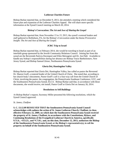#### **Lutheran Charities Future**

Bishop Burkat reported that, on December 9, 2013, she attended a meeting which considered the future plan and expansion of the Lutheran Charities Appeal. She will share more specific information at the Synod Council meeting on March 20, 2014.

#### **Bishop's Convocation:** *The Art and Awe of Sharing the Gospel*

Bishop Burkat reported that, from November 13 to 15, 2013, the synod's rostered leaders and staff gathered in Bethlehem, PA, for the Bishop's Convocation under the theme *Provocative Insight: The Art and Awe of Sharing the Gospel.*

#### **JCRC Trip to Israel**

Bishop Burkat reported that, in February 2014, she would be traveling to Israel as part of an interfaith group sponsored by the Jewish Community Relations Council. Joining her from this synod are the Reverends Patricia Davenport and Ellen Meissgeier and Dr. Jon Pahl. Available to handle any bishop's responsibilities during her absence are Bishop Tracie Bartholomew, New Jersey Synod, and Bishop Samuel Zeiser, Northeastern Pennsylvania Synod.

#### **Gloria Dei, Huntingdon Valley**

Bishop Burkat reported that Gloria Dei, Huntingdon Valley, has called as pastor the Reverend Dr. Sharon Graff, a rostered leader of the United Church of Christ. She noted that, according to her church body's documents, Pastor Graff's call is a four-way call from the United Church of Christ, involving the pastor, the congregation, the Pennsylvania Southeast Conference, UCC, and the Southeastern Pennsylvania Synod, ELCA. Bishop Burkat said that, in accordance with those documents, she would receive, not install, Pastor Graff at Gloria Dei on January 26, 2014.

#### **Resolutions to Sell Buildings**

At Bishop Burkat's request, Secretary Miller presented the following resolutions, which the Synod Council approved:

#### *St. James, Chalfont*

**S. C. 13.12.09 RESOLVED THAT the Southeastern Pennsylvania Synod Council acknowledges with sadness the action of St. James Lutheran Church, Chalfont, to close, effective February 22, 2009, on which date the Southeastern Pennsylvania Synod received the property of St. James, Chalfont, in accordance with the Constitutions, Bylaws, and Continuing Resolutions of the Evangelical Lutheran Church in America, specifically 9.71.b., +S13.23., and \*C7.01.; and, on this date, December 12, 2013, authorizes the Bishop of the Southeastern Pennsylvania Synod, or the Bishop's representative(s), to sell the property on behalf of the Southeastern Pennsylvania Synod.**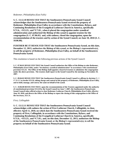#### *Redeemer, Philadelphia (East Falls)*

**S. C. 13.12.10 RESOLVED THAT the Southeastern Pennsylvania Synod Council acknowledges that the Southeastern Pennsylvania Synod received the property of Redeemer, Philadelphia (East Falls), in accordance with the Constitutions, Bylaws, and Continuing Resolutions of the Evangelical Lutheran Church in America, specifically 9.71.b., +S13.23., and \*C7.01., when it placed the congregation under synodical administration and authorized the Bishop of this synod to appoint trustees for the congregation (S. C. 07.06.01) and, with sadness, closed the congregation, upon the recommendation of the trustees and by action of the Synod Council, on June 10, 2010 (S. C. 10.06.08).**

**FURTHER BE IT RESOLVED THAT the Southeastern Pennsylvania Synod, on this date, December 12, 2013, authorizes the Bishop of this synod, or the Bishop's representative(s), to sell the property of Redeemer, Philadelphia (East Falls), on behalf of the Southeastern Pennsylvania Synod.**

This resolution is based on the following previous actions of the Synod Council:

**S. C. 07.06.01 RESOLVED THAT the Synod Council authorizes the Office of the Bishop to take Redeemer, Philadelphia (East Falls), under "involuntary synodical administration" in accordance with constitutional provision S13.24. The Office of the Bishop shall appoint a board of trustees to administer the congregation**  under the above provision. The trustees shall report to the Synod Council by the meeting on November 29, **2007.**

**S. C. 09.04.02 RESOLVED THAT the Southeastern Pennsylvania Synod Council re-affirms its decision** [S. C. 07.06.01] **to invoke S13.24, taking charge and control of the property of Redeemer, Philadelphia (East Falls), and to hold, manage, and convey the same on behalf of the synod.** 

**S. C. 10.06.08 RESOLVED THAT, upon the recommendation of the Trustees appointed under the authority of constitutional provision S13.24 by the Synod Council on June 7, 2007, the Southeastern Pennsylvania Synod Council takes official action to close Redeemer Lutheran Church, Philadelphia (East Falls), effective June 10, 2010, and directs the Office of the Bishop to report the closing of this congregation to the Office of the Secretary, ELCA.**

#### *First, Collingdale*

**S. C. 13.12.11 RESOLVED THAT the Southeastern Pennsylvania Synod Council acknowledges with sadness the action of First Lutheran Church, Collingdale, to close, effective April 11, 2010, on which date the Southeastern Pennsylvania Synod received the property of First, Collingdale, in accordance with the Constitutions, Bylaws, and Continuing Resolutions of the Evangelical Lutheran Church in America, specifically 9.71.b., +S13.23., and \*C7.01.; and, on this date, December 12, 2013, authorizes the Bishop of the Southeastern Pennsylvania Synod, or the Bishop's representative(s), to sell the property on behalf of the Southeastern Pennsylvania Synod.**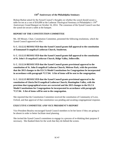## **150th Anniversary of the Philadelphia Seminary**

Bishop Burkat asked for the Synod Council's thoughts on whether the synod should secure a table for ten at a cost of \$10,000 at the Lutheran Theological Seminary at Philadelphia's  $150<sup>th</sup>$ Anniversary Grand Banquet on October 16, 2014. The consensus of the Synod Council was that the synod not secure a table at the banquet.

## **REPORT OF THE CONSTITUTION COMMITTEE**

Ms. Jill Meuser, Chair, Constitution Committee, presented the following resolutions, which the Synod Council approved *en bloc*:

**S. C. 13.12.12 RESOLVED that the Synod Council grants full approval to the constitution of Emmanuel Evangelical Lutheran Church, Souderton.**

**S. C. 13.12.13 RESOLVED that the Synod Council grants full approval to the constitution of St. John's Evangelical Lutheran Church, Ridge Valley, Sellersville.**

**S. C. 13.12.14 RESOLVED that the Synod Council grants provisional approval to the constitution of St. John Evangelical Lutheran Church, Melrose Park, with the provision that the 2013 changes to the ELCA Model Constitutions for Congregations be incorporated in accordance with paragraph \*C17.04. A list of items will be sent to the congregation.**

**S. C. 13.12.15 RESOLVED that the Synod Council grants provisional approval to the constitution of Gloria Dei Evangelical Lutheran Church, Huntingdon Valley, with the provision that typographical errors are corrected and the 2013 changes to the ELCA Model Constitutions for Congregations be incorporated in accordance with paragraph \*C17.04. A list of items will be sent to the congregation.**

She reported that the Constitution Committee received the constitution of Community of Love, Oxford, and that approval of that constitution was pending and awaiting congregational response.

## **EXECUTIVE COMMITTEE AND VICE PRESIDENT'S REPORT**

Vice President Beasley encouraged Synod Council members to let her know if they are going to be absent in order to better facilitate meal planning.

She invited the Synod Council committees to engage in a process of re-thinking their purpose if necessary. She thanked them for the work that they do behind the scenes.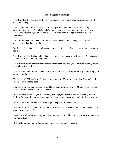#### **Synod Capital Campaign**

Vice President Beasley opened the floor for questions or comments on the proposed Synod Capital Campaign.

Synod Council members and synod staff, who participated in the process of selecting a consulting firm for the Synod Capital Campaign and/or who had previous experience with Kairos and Associates, noted the ability of the Kairos team to integrate spirituality and fundraising.

Ms. Susan Pursch raised a concern that some may perceive the campaign as a spiritual assessment rather than a fund raiser.

Mr. Robert Hensil noted that Kairos and Associates offers benefits to congregations beyond fund raising.

The Reverend Karl Richard added that, based on his experience with Kairos and Associates, the team is "very clear about raising money."

Mr. Rodman Rothermel requested that the Kairos team provide guidelines for what they intend to produce financially.

The Reverend Paul Sorcek noted that an assessment was necessary before any fund raising goals could be produced.

The Reverend William Rex asked where the money for Kairos and Associates' fee and ancillary expenses would come from.

Ms. Neff answered that the synod would take a loan from the *Fund for Mission* to pay Kairos and Associates' fee and ancillary expenses.

Bishop Burkat added that, as the campaign develops, the leadership of the campaign would be looking for major donors and "not count on congregations to carry the ball" for the campaign.

Mr. Rothermel requested that a financial goal be placed in the resolution.

Bishop Burkat suggested that the synod "let Kairos [and Associates] tell us what the goal is after doing the assessment."

Sister Mary Julia McKenzie requested that the Synod Council have an opportunity to meet with the Kairos team.

Bishop Burkat said that the Kairos team would welcome such a meeting.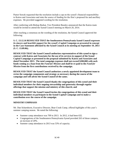Pastor Sorcek requested that the resolution include a cap on the synod's financial responsibility to Kairos and Associates and state the source of funding for the firm's proposed fee and ancillary expenses. He provided suggested wording for the resolution.

After conferring with Bishop Burkat, Vice President Beasley announced that the Kairos team would be invited to attend the Synod Council meeting on March 20, 2014.

After reaching a consensus on the wording of the resolution, the Synod Council approved the following:

**S. C. 13.12.16 RESOLVED THAT the Southeastern Pennsylvania Synod Council expresses its sincere and heartfelt support for the synod's Capital Campaign as presented in concept in the Case Statement affirmed by the Synod Council at its meeting on September 19, 2013 (S. C. 13.09.06);**

**RESOLVED THAT the Synod Council authorizes representatives of this synod to sign a contract with Kairos and Associates for the use of its services in support of the Synod Capital Campaign as presented in the proposal submitted by Kairos and Associates and dated November 2013. The total campaign expenses shall not exceed \$200,000 with such funds coming as a loan from the** *Fund for Mission* **and shall be re-paid to the** *Fund for Mission* **from the first contributions received by the campaign.**

**RESOLVED THAT the Synod Council authorizes a newly appointed development team to revise the campaign components and strategy as necessary during the course of the campaign and will advise the Synod Council of the same;**

**RESOLVED THAT the Synod Council thanks the congregations of this synod and their individual members for their ongoing stewardship and generosity through regular offerings that support the mission and ministry of this church; and**

**RESOLVED THAT the Synod Council invites the congregations of this synod and their individual members to participate in the Synod Capital Campaign and to make a contribution over the course of the campaign.**

## **MINISTRY EMPHASIS**

Mr. Dan Scharnhorst, Executive Director, Bear Creek Camp, offered highlights of this year's summer camping season. He noted the following:

- Summer camp attendance was 709 in 2013. In 2012, it had been 632.
- Congregations of the Southeastern Pennsylvania Synod provided 263 of those campers, an increase of 20%.
- Summer camp attendance in 2013 was 53% of capacity.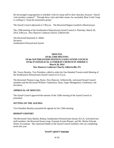He encouraged congregations to schedule visits by camp staff to their churches, because "church visits produce campers!" Through these visits and other means, he concluded, Bear Creek Camp is working to "keep the momentum going."

The Synod Council adjourned at 7:00 p.m. The Reverend Regina Goodrich offered prayer.

The 129th meeting of the Southeastern Pennsylvania Synod Council is Thursday, March 20, 2014, 4:00 p.m., New Hanover Lutheran Church, Gilbertsville.

The Reverend Raymond A. Miller **Secretary** Southeastern Pennsylvania Synod

#### **MINUTES Of the 129th MEETING Of the SOUTHEASTERN PENNSYLVANIA SYNOD COUNCIL Of the EVANGELICAL LUTHERAN CHURCH IN AMERICA March 20, 2014 New Hanover Lutheran Church, Gilbertsville, PA**

Ms. Tracey Beasley, Vice President, called to order the One Hundred Twenty-ninth Meeting of the Southeastern Pennsylvania Synod Council at 4:15 p.m.

The Reverend Thomas Lang, Pastor, New Hanover, Gilbertsville, welcomed Synod Council members and the Reverend William Vanderslice, Dean, Upper Montgomery Conference, led devotions.

#### **APPROVAL OF MINUTES**

The Synod Council approved the minutes of the 128th meeting of the Synod Council as presented.

#### **SETTING OF THE AGENDA**

Vice President Beasley presented the agenda for the 129th meeting.

#### **BISHOP'S REPORT**

The Reverend Claire Burkat, Bishop, Southeastern Pennsylvania Synod, ELCA, welcomed new staff members: the Reverend Susan Lang, Assistant Events Planner, and Mr. Martin Schwab, Senior Accountant. She expressed thanks to the Synod Council members who are completing terms this year.

#### **Synod Capital Campaign**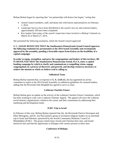Bishop Burkat began by reporting that "our partnership with Kairos has begun," noting that:

- Synod Council members, staff, and deans met with Kairos representatives on February 1, 2014.
- Landscape Surveys have been distributed to the synod's key lay and rostered leaders; approximately 350 have been completed.
- Key leaders from many of the synod's teams have been invited to a Bishop's Summit on March 26 or March 27, 2014.

She presented the following resolution, which the Synod Council approved:

**S. C. 14.03.01 RESOLVED THAT the Southeastern Pennsylvania Synod Council approves the following resolution for presentation to the 2014 Synod Assembly and recommends approval by the assembly, pending a favorable report from Kairos on the feasibility of a capital campaign:**

**In order to equip, strengthen, and grow the congregations and leaders of this territory, BE IT RESOLVED THAT the Southeastern Pennsylvania Synod, ELCA, enter a capital funding campaign by which to clarify and communicate a compelling vision, engage congregations in a process of discovery and growth, and develop resources necessary to achieve the mission to which we believe God is calling us.**

#### **Sabbatical Team**

Bishop Burkat reported that, in response to **S. A. 12.05.15,** she has appointed an *ad hoc*  committee to report to the 2014 Synod Assembly on sabbatical guidelines for rostered leaders, adding that the Reverend Julie Bergdahl has agreed to serve as chair.

#### **Lutheran Charities Future**

Bishop Burkat gave an update on the activity of the Lutheran Charities Future Committee, which has been working to craft a new Lutheran Charities Appeal. The appeal will serve the Lutheran social ministry organizations, related to the synod, and their constituents by addressing their marketing and development needs.

#### **JCRC Trip to Israel**

In February of this year, Bishop Burkat reported that she, the Reverends Patricia Davenport and Ellen Meissgeier, and Dr. Jon Paul joined a group of seventeen religious leaders on an interfaith trip to Israel and Palestine, sponsored by the Jewish Community Relations Council of Philadelphia (JCRC). The group visited many Jewish and Christian holy sites, and Israeli historical sites and had the opportunity to dialogue with various persons at these sites.

#### **Conference of Bishops**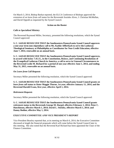On March 3, 2014, Bishop Burkat reported, the ELCA Conference of Bishops approved the extension of *on leave from call* status for the Reverends Sozinho Alves, J. Christian McMullan, and David Oppold as requested by the Synod Council.

#### **Action on the Roster**

#### *Calls to Specialized Ministry*

The Reverend Raymond Miller, Secretary, presented the following resolutions, which the Synod Council approved:

**S. C. 14.03.02 RESOLVED THAT the Southeastern Pennsylvania Synod Council approves a one-year term non-stipendiary call to Ms. Kathie Afflerbach to serve the Lutheran Theological Seminary at Philadelphia as Coordinator for Non-Credit Education, effective June 7, 2014, renewable on an annual basis.**

**S. C. 14.03.03 RESOLVED THAT the Southeastern Pennsylvania Synod Council approves, in accord with bylaw 7.41.15., in the Constitution, Bylaws, and Continuing Resolutions of the Evangelical Lutheran Church in America, a call to serve in Unusual Circumstances to the Reverend Leslie M. Richard for a period of one year effective June 1, 2014, and ending May 31, 2015, renewable on an annual basis.**

#### *On Leave from Call Requests*

Secretary Miller presented the following resolution, which the Synod Council approved:

**S. C. 14.03.04 RESOLVED THAT the Southeastern Pennsylvania Synod Council grants** *on leave from call* **status to Sister Maggie Thorne, 1st year, effective January 11, 2014, and the Reverend Harold Evans, first year, effective April 1, 2014.**

#### *Retirement Requests*

Secretary Miller presented the following resolution, which the Synod Council approved:

**S. C. 14.03.05 RESOLVED THAT the Southeastern Pennsylvania Synod Council grants**  *retirement* **status to the Reverends George M. Harpel, effective February 1, 2014; Peter C. Hutchinson, effective March 1, 2014; David L. Stickley, effective March 1, 2014; and Danny Bodine, effective May 1, 2014.**

#### **EXECUTIVE COMMITTEE AND VICE PRESIDENT'S REPORT**

Vice President Beasley reported that, at its meeting on March 6, 2014, the Executive Committee discussed at length the financial proposals which will come before the Synod Council later in this meeting. She also noted that the Reverend Karl Richard has been appointed the Chair of the Finance Committee.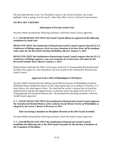She also indicated that, in the Vice President's report to the Synod Assembly, she would highlight "what is going on in the synod," rather than offer a review of Synod Council actions.

## **SECRETARY'S REPORT**

## **Affirmation of Previous Email Votes**

Secretary Miller presented the following resolution, which the Synod Council approved:

**S. C. 14.03.06 RESOLVED THAT the Synod Council affirms its approval of the following resolutions by email vote:**

**RESOLVED THAT the Southeastern Pennsylvania Synod Council requests that the ELCA Conference of Bishops approve a first two-year extension of** *on leave from call for graduate study* **status for the Reverend Christian McMullan, effective January 5, 2014.**

**RESOLVED THAT the Southeastern Pennsylvania Synod Council requests that the ELCA Conference of Bishops approve a one-year extension of** *on leave from call* **status for the Reverend Sozinho Alves, effective January 1, 2014.**

Bishop Burkat noted that the Office of Secretary of the ELCA recommended that the Reverend Sozinho Alves apply for a non-stipendiary call to be issued by the Southeastern Pennsylvania Synod Council.

## **Approval of the LSMS of Philadelphia (LSH) Bylaws**

Secretary Miller reported that the Lutheran Social Mission Society of Philadelphia (Lutheran Settlement House) updated its bylaws in 2012 and requests that, in accordance of Section 11 of those bylaws, the synod approve them. He noted that the society's attorney has reviewed the updated bylaws and that the updated bylaws would also need to be approved by the ELCA's Congregational and Synodical Mission unit. He presented the following resolution, which the Synod Council approved:

#### **S. C. 14.03.07 RESOLVED THAT the Southeastern Pennsylvania Synod Council approves the** *Amended and Restated Bylaws of the Lutheran Social Mission Society of Philadelphia* **as adopted by the society's Board of Directors in 2012.**

#### **Rule Governing Committee on Discipline Elections at the 2014 Synod Assembly**

Secretary Miller presented the following resolution, which the Synod Council approved:

**S. C. 14.03.08 RESOLVED THAT the Southeastern Pennsylvania Synod Council establishes the following rule at the 2014 Synod Assembly for the election of members of the Committee of Discipline:**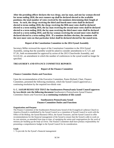**After the presiding officer declares the two clergy, one lay man, and one lay woman elected for terms ending 2020, the next runners-up shall be declared elected to the available positions; the total number of votes received by the nominees determining their length of term. As such, the clergy receiving the third and fourth most votes shall be declared elected to terms ending 2018, the clergy receiving the fifth most votes shall be declared elected to a term ending 2016, the lay man receiving the second most votes shall be declared elected to a term ending 2018, the lay man receiving the third most votes shall be declared elected to a term ending 2016; and the lay woman receiving the second most votes shall be declared elected to a term ending 2016. If a nominee declines election, the nominee with the next most votes on that particular ticket shall be declared elected for the stated term.** 

#### **Report of the Constitution Committee to the 2014 Synod Assembly**

Secretary Miller reviewed the report of the Constitution Committee to the 2014 Synod Assembly, noting that the assembly would be asked to consider amendments to S.7.23. and S7.26., both recommended for approval by action of the 2013 Churchwide Assembly, and S12.01.02., an amendment in which the number of conferences in the synod would no longer be specified.

## **TREASURER'S AND FINANCE COMMITTEE REPORTS**

#### **Report of the Finance Committee**

#### *Finance Committee Duties and Functions*

Upon the recommendation of the Executive Committee, Pastor Richard, Chair, Finance Committee, presented the following resolution, which the Synod Council approved as a continuing resolution by the required two-thirds vote:

#### **S. C. 14.03.09 RESOLVED THAT the Southeastern Pennsylvania Synod Council approves by two-thirds vote the following document** *Southeastern Pennsylvania Synod Finance Committee Duties and Functions* **as a continuing resolution of this synod:**

#### **Southeastern Pennsylvania Synod Finance Committee Duties and Functions**

#### **Organization and Purpose**

The Finance Committee of the Southeastern Pennsylvania Synod of the Evangelical Lutheran Church in America (Synod) is established by the Synod Council as a committee of Synod Council to work with the Office of the Bishop, the Synod Business Office, the Synod Treasurer, and the Synod Council to offer recommendations for the financial management of the Synod to ensure that the Synod is able to work on its core mission, as amended from time to time, of *equipping the saints and congregations for the work of ministry for building up the body of Christ*. The Finance Committee shall have primary responsibility for presenting a comprehensive budget to the Synod Council for its consideration.

#### **Goals**

1. To provide for the Synod's financial management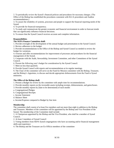2. To periodically review the Synod's financial policies and procedures for necessary changes. (The Office of the Bishop has established the procedures consistent with ELCA procedures and Auditor recommendations.)

3. To assure the reliability of systems, processes and people to support the financial reporting needs of the Synod.

4. To provide for financial transparency.

5. To study and communicate the greater economic and financial environment in order to forecast trends that can significantly influence financial decisions.

6. To ensure that the Synod Council receives accurate and complete information.

#### **Responsibilities**

#### **The SEPA Finance Committee shall:**

1. Provide oversight of the development of the annual budget and presentation to the Synod Council.

2. Review adherence to the budget.

3. Provide recommendations to the Office of the Bishop and Synod Council as needed to review the budget for variations.

4. Oversee and offer recommendations for improvement of processes and procedures for the financial management of the Synod.

5. Cooperate with the Audit, Stewardship, Investment Committee, and other Committees of the Synod Council.

6. Present the following year's budget for consideration by the Synod Council.

7. Meet no less than quarterly

8. Provide Synod Council with reports and recommendations at its regular meetings.

9. The Chair of the committee will serve on the Fund for Mission committee with the Bishop, Treasurer, and the Bishop's Appointee, to discuss and decide appropriate disbursements from the Fund to Synod ministries.

#### **The Office of the Bishop shall:**

1. Present a Budget for review by the committee with ample time for recommendations.

2. Provide monthly reports on the investable assets including receipts, disbursements, and gains/losses.

- 3. Provide monthly reports by [date to be determined] of each month:
- a. Congregational Pledges
- b. Congregational Receipts
- c. Income Statement

d. Balance Sheet

e. Income/Expense compared to Budget by line item

#### **Membership**

The committee shall consist of at least five members and not more than eight in addition to the Bishop and Treasurer. Members of the committee will be appointed by the Bishop and Vice President of the Synod. The membership of the Committee shall include:

1. A Chairperson appointed by the Bishop and the Vice President, who shall be a member of Synod Council.

2. At least 3 members of Synod Council

3. Voting members from SEPA Synod congregations who have accounting and/or financial management skills and experience

4. The Bishop and the Treasurer are Ex-Officio members of the committee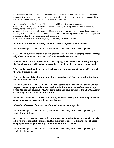5. The term of the non-Synod Council members shall be three years. The non-Synod Council members may serve two consecutive terms. The terms of the non-Synod Council members shall be staggered in a manner determined by the Synod Council Executive Committee.

A representative(s) of the Business Office shall attend Finance Committee meetings. Conflict of Interest: Any possible conflict of interest on the part of any member shall be disclosed, in writing, to the committee annually.

a. Any member having a possible conflict of interest in any transaction being considered at a committee meeting shall not be counted in determining the quorum for the meeting and shall not vote or use personal influence to affect the vote concerning such transaction.

b. All new members shall be advised promptly of the requirements of this section.

## *Resolution Concerning Support of Lutheran Charities, Agencies and Ministries*

Pastor Richard presented the following resolution, which the Synod Council approved:

**S. C. 14.03.10 Whereas there have been questions raised as to how congregational offerings might best be submitted to various Lutheran benevolent causes, and**

**Whereas there has been a practice by some congregations to send such offerings through the Synod treasurer, while other congregations send them directly to the recipient, and**

**Whereas the benefit to the recipient is delayed with the extra step of routing gifts through the Synod treasurer, and**

**Whereas the added time for processing these "pass through" funds takes extra time for a now reduced Synod staff,**

**THEREFORE BE IT RESOLVED THAT the Southeastern Pennsylvania Synod Council requests that congregations be encouraged to submit Lutheran benevolent gifts, except Synod Mission Support and/or ELCA Partnership Support, directly to the Charity, Agency or Ministry to which they are directed, and**

**BE IT FURTHER RESOLVED THAT the Synod office develop and publish a plan for how congregations may make such direct contributions.**

#### *Allocation of Proceeds from the Sale of Closed Congregation Properties*

Pastor Richard presented the following resolution, which the Synod Council approved by the required two-thirds vote:

**S. C. 14.03.11 RESOLVED THAT the Southeastern Pennsylvania Synod Council rescinds all of its previous resolutions regarding the allocation of proceeds from the sale of closed congregation buildings, including but not limited to S. C. 04.02.08.**

Pastor Richard presented the following resolution, which the Synod Council approved by the required majority vote: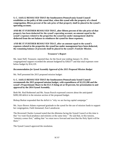**S. C. 14.03.12 RESOLVED THAT the Southeastern Pennsylvania Synod Council establishes as the policy of this synod that, when this synod sells the property of a closed congregation, fifteen percent of the sale price of that property shall be placed in the synod's operating account;**

**AND BE IT FURTHER RESOLVED THAT, after fifteen percent of the sale price of that property has been deducted for the synod's operating account, an amount equal to the synod's expenses related to the properties the synod has under management shall be deducted from the net balance to reimburse the synod for those expenses;**

**AND BE IT FURTHER RESOLVED THAT, after an amount equal to the synod's expenses related to the properties the synod has under management have been deducted, the remaining balance of proceeds shall be placed in the synod's** *Fund for Mission.*

#### **Treasurer's Report**

Ms. Janet Neff, Treasurer, reported that, for the fiscal year ending January 31, 2014, congregational support exceeded the amount budgeted by \$38,677 and that total expenses were below budget by \$14,129.

## *Recommendation for Synod Assembly Approval of the 2015 Proposed Mission Budget*

Ms. Neff presented the 2015 proposed mission budget:

**S. C. 14.03.13 RESOLVED THAT the Southeastern Pennsylvania Synod Council recommends the 2015 proposed mission budget, with expenditures of \$2,222,200 and the synod's Proportionate Share to the ELCA being set at 50 percent, for presentation to and approval by the 2014 Synod Assembly.**

Both Mr. Rod Rothermel and Ms. Susan Pursch expressed concern about the anticipated \$289,100 deficit in the mission section of the proposed budget.

Bishop Burkat responded that the deficit is "why we are having capital campaign."

Ms. Joyce Brown Adams expressed gratitude to the synod for the use of mission funds to support her congregation, Faith Immanuel, East Lansdowne.

The Reverend Charles Leonard noted that the dilemma facing the Synod Council at this time is that "we want fiscal prudence and ministry at the same time." He said that, in this tension, "ministry comes first," adding that "we must move forward and trust that the Holy Spirit will be there"

The Synod Council approved the resolution.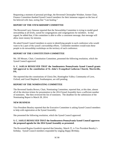Requesting a moment of personal privilege, the Reverend Christopher Weidner, former Chair, Finance Committee thanked Synod Council members for their immense support on the loss of his beloved wife Jane, noting that "I am healing."

## **REPORT OF THE STEWARDSHIP COMMITTEE**

The Reverend Larry Smoose reported that the Stewardship Committee is trying to model good stewardship at all levels, synod for congregations and congregations for members. In that regard, he added that, if the committee is able to offer a consistent message, that message will allow more money for mission.

He asked Synod Council members to assist in identifying people in each conference who would want to be a part of the synod's stewardship efforts. Committee members would train these people to do stewardship workshops on the territory of each conference.

## **REPORT OF THE CONSTITUTION COMMITTEE**

Ms. Jill Meuser, Chair, Constitution Committee, presented the following resolution, which the Synod Council approved:

## **S. C. 14.03.14 RESOLVED THAT the Southeastern Pennsylvania Synod Council grants full approval to the constitution of St. John's Evangelical Lutheran Church, Morrisville, PA.**

She reported that the constitutions of Gloria Dei, Huntingdon Valley; Community of Love, Oxford; and Good Shepherd, Southampton, are still pending.

## **REPORT OF THE NOMINATING COMMITTEE**

The Reverend Sandra Brown, Chair, Nominating Committee, reported that, at this date, almost all of the election tickets for presentation to the 2014 Synod Assembly have a sufficient number of nominees. She then reviewed the list of nominees. The deadline for the submission of the Nominating Report is March 28, 2014.

## **NEW BUSINESS**

Vice President Beasley reported that the Executive Committee is asking Synod Council members to help with registration at the Synod Assembly.

She presented the following resolution, which the Synod Council approved:

## **S. C. 14.03.15 RESOLVED THAT the Southeastern Pennsylvania Synod Council approves the proposed agenda for the 2014 Synod Assembly as presented.**

The Reverend Regina Goodrich reported that Saturday, March 22, is Vice President Beasley's birthday. Synod Council members responded by singing *Happy Birthday.*